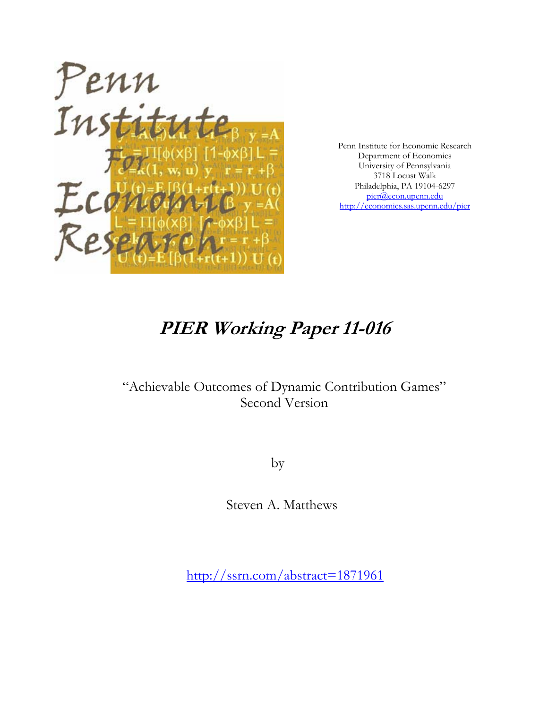

Penn Institute for Economic Research Department of Economics University of Pennsylvania 3718 Locust Walk Philadelphia, PA 19104-6297 pier@econ.upenn.edu http://economics.sas.upenn.edu/pier

# **PIER Working Paper 11-016**

# "Achievable Outcomes of Dynamic Contribution Games" Second Version

by

Steven A. Matthews

http://ssrn.com/abstract=1871961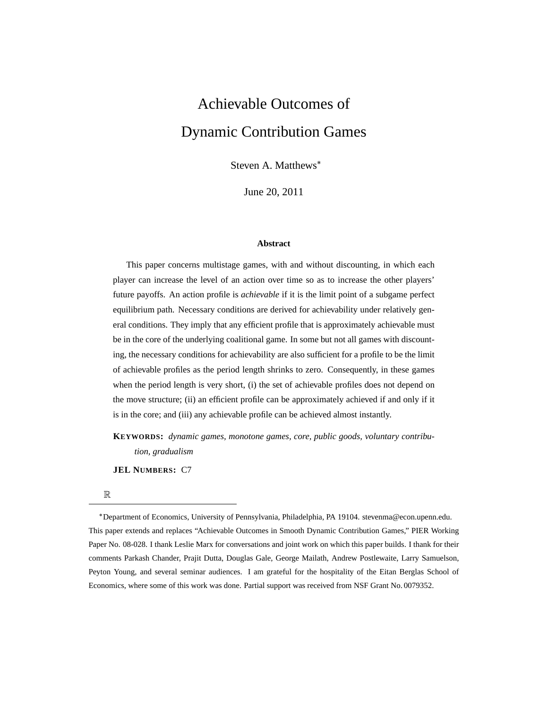# Achievable Outcomes of Dynamic Contribution Games

Steven A. Matthews

June 20, 2011

#### **Abstract**

This paper concerns multistage games, with and without discounting, in which each player can increase the level of an action over time so as to increase the other players' future payoffs. An action profile is *achievable* if it is the limit point of a subgame perfect equilibrium path. Necessary conditions are derived for achievability under relatively general conditions. They imply that any efficient profile that is approximately achievable must be in the core of the underlying coalitional game. In some but not all games with discounting, the necessary conditions for achievability are also sufficient for a profile to be the limit of achievable profiles as the period length shrinks to zero. Consequently, in these games when the period length is very short, (i) the set of achievable profiles does not depend on the move structure; (ii) an efficient profile can be approximately achieved if and only if it is in the core; and (iii) any achievable profile can be achieved almost instantly.

**KEYWORDS:** *dynamic games, monotone games, core, public goods, voluntary contribution, gradualism*

**JEL NUMBERS:** C7

R

Department of Economics, University of Pennsylvania, Philadelphia, PA 19104. stevenma@econ.upenn.edu. This paper extends and replaces "Achievable Outcomes in Smooth Dynamic Contribution Games," PIER Working Paper No. 08-028. I thank Leslie Marx for conversations and joint work on which this paper builds. I thank for their comments Parkash Chander, Prajit Dutta, Douglas Gale, George Mailath, Andrew Postlewaite, Larry Samuelson, Peyton Young, and several seminar audiences. I am grateful for the hospitality of the Eitan Berglas School of Economics, where some of this work was done. Partial support was received from NSF Grant No. 0079352.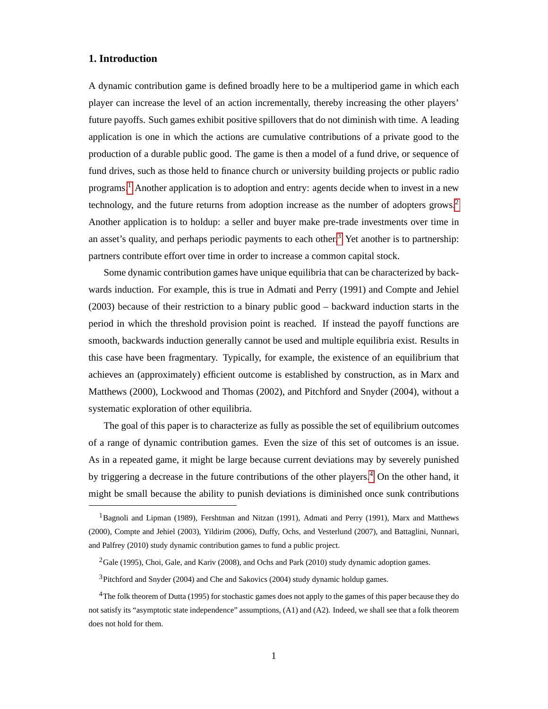# **1. Introduction**

A dynamic contribution game is defined broadly here to be a multiperiod game in which each player can increase the level of an action incrementally, thereby increasing the other players' future payoffs. Such games exhibit positive spillovers that do not diminish with time. A leading application is one in which the actions are cumulative contributions of a private good to the production of a durable public good. The game is then a model of a fund drive, or sequence of fund drives, such as those held to finance church or university building projects or public radio programs.[1](#page-2-0) Another application is to adoption and entry: agents decide when to invest in a new technology, and the future returns from adoption increase as the number of adopters grows.<sup>[2](#page-2-1)</sup> Another application is to holdup: a seller and buyer make pre-trade investments over time in an asset's quality, and perhaps periodic payments to each other.<sup>[3](#page-2-2)</sup> Yet another is to partnership: partners contribute effort over time in order to increase a common capital stock.

Some dynamic contribution games have unique equilibria that can be characterized by backwards induction. For example, this is true in Admati and Perry (1991) and Compte and Jehiel (2003) because of their restriction to a binary public good – backward induction starts in the period in which the threshold provision point is reached. If instead the payoff functions are smooth, backwards induction generally cannot be used and multiple equilibria exist. Results in this case have been fragmentary. Typically, for example, the existence of an equilibrium that achieves an (approximately) efficient outcome is established by construction, as in Marx and Matthews (2000), Lockwood and Thomas (2002), and Pitchford and Snyder (2004), without a systematic exploration of other equilibria.

The goal of this paper is to characterize as fully as possible the set of equilibrium outcomes of a range of dynamic contribution games. Even the size of this set of outcomes is an issue. As in a repeated game, it might be large because current deviations may by severely punished by triggering a decrease in the future contributions of the other players.<sup>[4](#page-2-3)</sup> On the other hand, it might be small because the ability to punish deviations is diminished once sunk contributions

<span id="page-2-0"></span><sup>&</sup>lt;sup>1</sup>Bagnoli and Lipman (1989), Fershtman and Nitzan (1991), Admati and Perry (1991), Marx and Matthews (2000), Compte and Jehiel (2003), Yildirim (2006), Duffy, Ochs, and Vesterlund (2007), and Battaglini, Nunnari, and Palfrey (2010) study dynamic contribution games to fund a public project.

<span id="page-2-1"></span><sup>&</sup>lt;sup>2</sup>Gale (1995), Choi, Gale, and Kariv (2008), and Ochs and Park (2010) study dynamic adoption games.

<span id="page-2-3"></span><span id="page-2-2"></span><sup>3</sup>Pitchford and Snyder (2004) and Che and Sakovics (2004) study dynamic holdup games.

<sup>4</sup>The folk theorem of Dutta (1995) for stochastic games does not apply to the games of this paper because they do not satisfy its "asymptotic state independence" assumptions, (A1) and (A2). Indeed, we shall see that a folk theorem does not hold for them.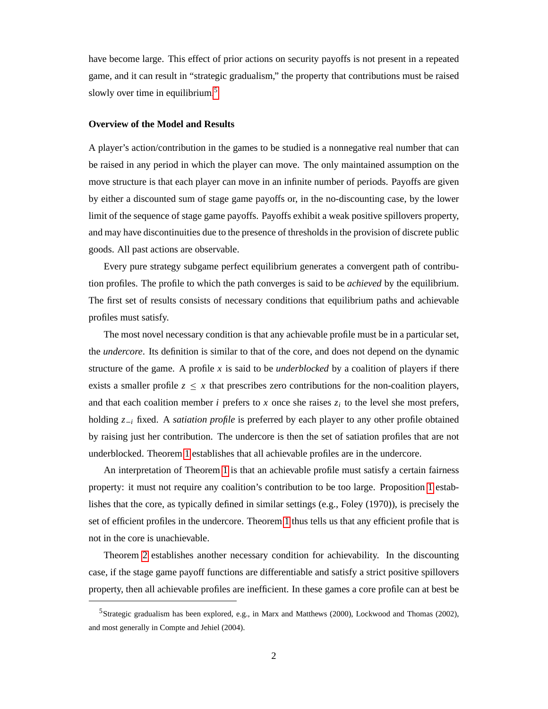have become large. This effect of prior actions on security payoffs is not present in a repeated game, and it can result in "strategic gradualism," the property that contributions must be raised slowly over time in equilibrium.<sup>[5](#page-3-0)</sup>

#### **Overview of the Model and Results**

A player's action/contribution in the games to be studied is a nonnegative real number that can be raised in any period in which the player can move. The only maintained assumption on the move structure is that each player can move in an infinite number of periods. Payoffs are given by either a discounted sum of stage game payoffs or, in the no-discounting case, by the lower limit of the sequence of stage game payoffs. Payoffs exhibit a weak positive spillovers property, and may have discontinuities due to the presence of thresholds in the provision of discrete public goods. All past actions are observable.

Every pure strategy subgame perfect equilibrium generates a convergent path of contribution profiles. The profile to which the path converges is said to be *achieved* by the equilibrium. The first set of results consists of necessary conditions that equilibrium paths and achievable profiles must satisfy.

The most novel necessary condition is that any achievable profile must be in a particular set, the *undercore*. Its definition is similar to that of the core, and does not depend on the dynamic structure of the game. A profile  $x$  is said to be *underblocked* by a coalition of players if there exists a smaller profile  $z \leq x$  that prescribes zero contributions for the non-coalition players, and that each coalition member *i* prefers to  $x$  once she raises  $z_i$  to the level she most prefers, holding  $z_{-i}$  fixed. A *satiation profile* is preferred by each player to any other profile obtained by raising just her contribution. The undercore is then the set of satiation profiles that are not underblocked. Theorem [1](#page-15-0) establishes that all achievable profiles are in the undercore.

An interpretation of Theorem [1](#page-15-0) is that an achievable profile must satisfy a certain fairness property: it must not require any coalition's contribution to be too large. Proposition [1](#page-17-0) establishes that the core, as typically defined in similar settings (e.g., Foley (1970)), is precisely the set of efficient profiles in the undercore. Theorem [1](#page-15-0) thus tells us that any efficient profile that is not in the core is unachievable.

Theorem [2](#page-16-0) establishes another necessary condition for achievability. In the discounting case, if the stage game payoff functions are differentiable and satisfy a strict positive spillovers property, then all achievable profiles are inefficient. In these games a core profile can at best be

<span id="page-3-0"></span><sup>5</sup>Strategic gradualism has been explored, e.g., in Marx and Matthews (2000), Lockwood and Thomas (2002), and most generally in Compte and Jehiel (2004).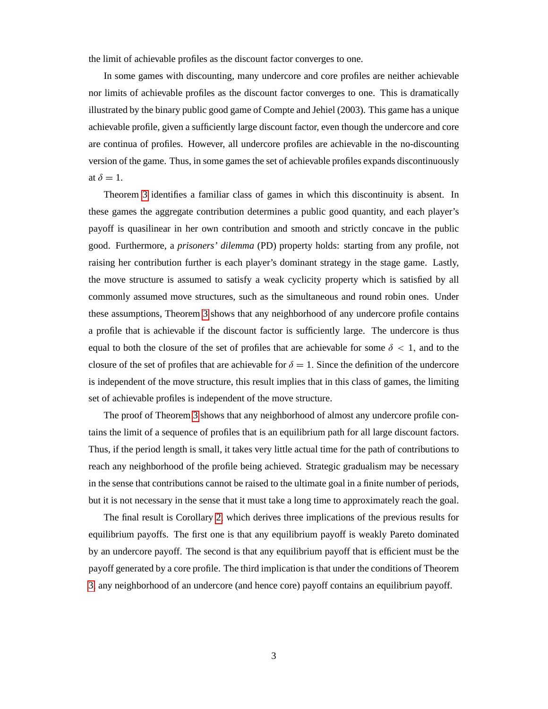the limit of achievable profiles as the discount factor converges to one.

In some games with discounting, many undercore and core profiles are neither achievable nor limits of achievable profiles as the discount factor converges to one. This is dramatically illustrated by the binary public good game of Compte and Jehiel (2003). This game has a unique achievable profile, given a sufficiently large discount factor, even though the undercore and core are continua of profiles. However, all undercore profiles are achievable in the no-discounting version of the game. Thus, in some games the set of achievable profiles expands discontinuously at  $\delta = 1$ .

Theorem [3](#page-23-0) identifies a familiar class of games in which this discontinuity is absent. In these games the aggregate contribution determines a public good quantity, and each player's payoff is quasilinear in her own contribution and smooth and strictly concave in the public good. Furthermore, a *prisoners' dilemma* (PD) property holds: starting from any profile, not raising her contribution further is each player's dominant strategy in the stage game. Lastly, the move structure is assumed to satisfy a weak cyclicity property which is satisfied by all commonly assumed move structures, such as the simultaneous and round robin ones. Under these assumptions, Theorem [3](#page-23-0) shows that any neighborhood of any undercore profile contains a profile that is achievable if the discount factor is sufficiently large. The undercore is thus equal to both the closure of the set of profiles that are achievable for some  $\delta$  < 1, and to the closure of the set of profiles that are achievable for  $\delta = 1$ . Since the definition of the undercore is independent of the move structure, this result implies that in this class of games, the limiting set of achievable profiles is independent of the move structure.

The proof of Theorem [3](#page-23-0) shows that any neighborhood of almost any undercore profile contains the limit of a sequence of profiles that is an equilibrium path for all large discount factors. Thus, if the period length is small, it takes very little actual time for the path of contributions to reach any neighborhood of the profile being achieved. Strategic gradualism may be necessary in the sense that contributions cannot be raised to the ultimate goal in a finite number of periods, but it is not necessary in the sense that it must take a long time to approximately reach the goal.

The final result is Corollary [2,](#page-24-0) which derives three implications of the previous results for equilibrium payoffs. The first one is that any equilibrium payoff is weakly Pareto dominated by an undercore payoff. The second is that any equilibrium payoff that is efficient must be the payoff generated by a core profile. The third implication is that under the conditions of Theorem [3,](#page-23-0) any neighborhood of an undercore (and hence core) payoff contains an equilibrium payoff.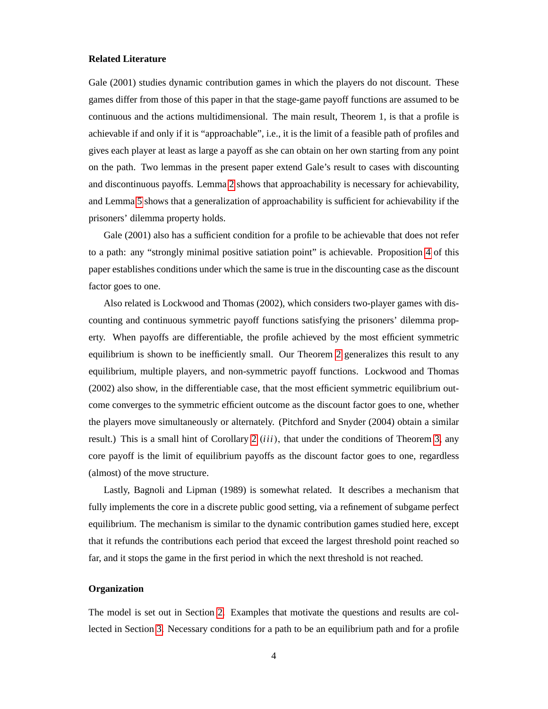#### **Related Literature**

Gale (2001) studies dynamic contribution games in which the players do not discount. These games differ from those of this paper in that the stage-game payoff functions are assumed to be continuous and the actions multidimensional. The main result, Theorem 1, is that a profile is achievable if and only if it is "approachable", i.e., it is the limit of a feasible path of profiles and gives each player at least as large a payoff as she can obtain on her own starting from any point on the path. Two lemmas in the present paper extend Gale's result to cases with discounting and discontinuous payoffs. Lemma [2](#page-14-0) shows that approachability is necessary for achievability, and Lemma [5](#page-20-0) shows that a generalization of approachability is sufficient for achievability if the prisoners' dilemma property holds.

Gale (2001) also has a sufficient condition for a profile to be achievable that does not refer to a path: any "strongly minimal positive satiation point" is achievable. Proposition [4](#page-22-0) of this paper establishes conditions under which the same is true in the discounting case as the discount factor goes to one.

Also related is Lockwood and Thomas (2002), which considers two-player games with discounting and continuous symmetric payoff functions satisfying the prisoners' dilemma property. When payoffs are differentiable, the profile achieved by the most efficient symmetric equilibrium is shown to be inefficiently small. Our Theorem [2](#page-16-0) generalizes this result to any equilibrium, multiple players, and non-symmetric payoff functions. Lockwood and Thomas (2002) also show, in the differentiable case, that the most efficient symmetric equilibrium outcome converges to the symmetric efficient outcome as the discount factor goes to one, whether the players move simultaneously or alternately. (Pitchford and Snyder (2004) obtain a similar result.) This is a small hint of Corollary [2](#page-24-0) *(iii)*, that under the conditions of Theorem [3,](#page-23-0) any core payoff is the limit of equilibrium payoffs as the discount factor goes to one, regardless (almost) of the move structure.

Lastly, Bagnoli and Lipman (1989) is somewhat related. It describes a mechanism that fully implements the core in a discrete public good setting, via a refinement of subgame perfect equilibrium. The mechanism is similar to the dynamic contribution games studied here, except that it refunds the contributions each period that exceed the largest threshold point reached so far, and it stops the game in the first period in which the next threshold is not reached.

#### **Organization**

The model is set out in Section [2.](#page-6-0) Examples that motivate the questions and results are collected in Section [3.](#page-9-0) Necessary conditions for a path to be an equilibrium path and for a profile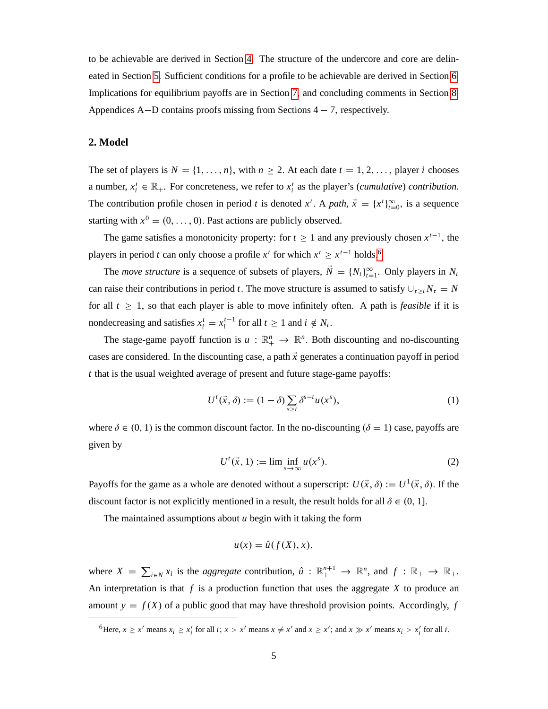to be achievable are derived in Section [4.](#page-13-0) The structure of the undercore and core are delineated in Section [5.](#page-16-1) Sufficient conditions for a profile to be achievable are derived in Section [6.](#page-20-1) Implications for equilibrium payoffs are in Section [7,](#page-24-1) and concluding comments in Section [8.](#page-25-0) Appendices A-D contains proofs missing from Sections  $4 - 7$ , respectively.

# <span id="page-6-0"></span>**2. Model**

The set of players is  $N = \{1, \ldots, n\}$ , with  $n \ge 2$ . At each date  $t = 1, 2, \ldots$ , player *i* chooses a number,  $x_i^t \in \mathbb{R}_+$ . For concreteness, we refer to  $x_i^t$  as the player's (*cumulative*) *contribution*. The contribution profile chosen in period *t* is denoted  $x^t$ . A path,  $\vec{x} = \{x^t\}_{t=0}^{\infty}$ , is a sequence starting with  $x^0 = (0, \ldots, 0)$ . Past actions are publicly observed.

The game satisfies a monotonicity property: for  $t \ge 1$  and any previously chosen  $x^{t-1}$ , the players in period *t* can only choose a profile  $x^t$  for which  $x^t \ge x^{t-1}$  holds.<sup>[6](#page-6-1)</sup>

The *move structure* is a sequence of subsets of players,  $N = \{N_t\}_{t=1}^{\infty}$ . Only players in  $N_t$ can raise their contributions in period *t*. The move structure is assumed to satisfy  $\bigcup_{\tau \geq t} N_{\tau} = N$ for all  $t \geq 1$ , so that each player is able to move infinitely often. A path is *feasible* if it is nondecreasing and satisfies  $x_i^t = x_i^{t-1}$  for all  $t \ge 1$  and  $i \notin N_t$ .

The stage-game payoff function is  $u : \mathbb{R}^n_+ \to \mathbb{R}^n$ . Both discounting and no-discounting cases are considered. In the discounting case, a path  $\vec{x}$  generates a continuation payoff in period *t* that is the usual weighted average of present and future stage-game payoffs:

<span id="page-6-2"></span>
$$
U^t(\vec{x}, \delta) := (1 - \delta) \sum_{s \ge t} \delta^{s-t} u(x^s), \tag{1}
$$

where  $\delta \in (0, 1)$  is the common discount factor. In the no-discounting  $(\delta = 1)$  case, payoffs are given by

<span id="page-6-3"></span>
$$
U^t(\vec{x}, 1) := \lim_{s \to \infty} \inf u(x^s). \tag{2}
$$

Payoffs for the game as a whole are denoted without a superscript:  $U(\vec{x}, \delta) := U^1(\vec{x}, \delta)$ . If the discount factor is not explicitly mentioned in a result, the result holds for all  $\delta \in (0, 1]$ .

The maintained assumptions about *u* begin with it taking the form

$$
u(x) = \hat{u}(f(X), x),
$$

where  $X = \sum_{i \in N} x_i$  is the *aggregate* contribution,  $\hat{u} : \mathbb{R}^{n+1}_+ \to \mathbb{R}^n$ , and  $f : \mathbb{R}_+ \to \mathbb{R}_+$ . An interpretation is that  $f$  is a production function that uses the aggregate  $X$  to produce an amount  $y = f(X)$  of a public good that may have threshold provision points. Accordingly, *f* 

<span id="page-6-1"></span><sup>&</sup>lt;sup>6</sup>Here,  $x \ge x'$  means  $x_i \ge x'_i$  for all  $i; x > x'$  means  $x \ne x'$  and  $x \ge x'$ ; and  $x \gg x'$  means  $x_i > x'_i$  for all  $i$ .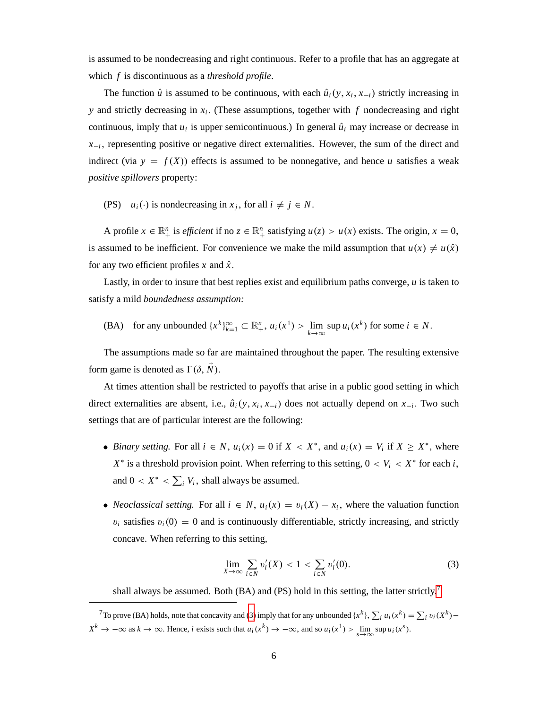is assumed to be nondecreasing and right continuous. Refer to a profile that has an aggregate at which *f* is discontinuous as a *threshold profile*.

The function  $\hat{u}$  is assumed to be continuous, with each  $\hat{u}_i(y, x_i, x_{-i})$  strictly increasing in *y* and strictly decreasing in *x<sup>i</sup>* : (These assumptions, together with *f* nondecreasing and right continuous, imply that  $u_i$  is upper semicontinuous.) In general  $\hat{u}_i$  may increase or decrease in  $x_{i}$ , representing positive or negative direct externalities. However, the sum of the direct and indirect (via  $y = f(X)$ ) effects is assumed to be nonnegative, and hence *u* satisfies a weak *positive spillovers* property:

(PS)  $u_i(\cdot)$  is nondecreasing in  $x_j$ , for all  $i \neq j \in N$ .

A profile  $x \in \mathbb{R}_+^n$  is *efficient* if no  $z \in \mathbb{R}_+^n$  satisfying  $u(z) > u(x)$  exists. The origin,  $x = 0$ , is assumed to be inefficient. For convenience we make the mild assumption that  $u(x) \neq u(\hat{x})$ for any two efficient profiles  $x$  and  $\hat{x}$ .

Lastly, in order to insure that best replies exist and equilibrium paths converge, *u* is taken to satisfy a mild *boundedness assumption:*

(BA) for any unbounded 
$$
\{x^k\}_{k=1}^{\infty} \subset \mathbb{R}_+^n
$$
,  $u_i(x^1) > \lim_{k \to \infty} \sup u_i(x^k)$  for some  $i \in N$ .

The assumptions made so far are maintained throughout the paper. The resulting extensive form game is denoted as  $\Gamma(\delta, \vec{N})$ .

At times attention shall be restricted to payoffs that arise in a public good setting in which direct externalities are absent, i.e.,  $\hat{u}_i(y, x_i, x_{-i})$  does not actually depend on  $x_{-i}$ . Two such settings that are of particular interest are the following:

- *Binary setting.* For all  $i \in N$ ,  $u_i(x) = 0$  if  $X < X^*$ , and  $u_i(x) = V_i$  if  $X \ge X^*$ , where  $X^*$  is a threshold provision point. When referring to this setting,  $0 < V_i < X^*$  for each *i*, and  $0 < X^* < \sum_i V_i$ , shall always be assumed.
- *Neoclassical setting.* For all  $i \in N$ ,  $u_i(x) = v_i(X) x_i$ , where the valuation function  $v_i$  satisfies  $v_i(0) = 0$  and is continuously differentiable, strictly increasing, and strictly concave. When referring to this setting,

<span id="page-7-1"></span>
$$
\lim_{X \to \infty} \sum_{i \in N} v'_i(X) < 1 < \sum_{i \in N} v'_i(0). \tag{3}
$$

shall always be assumed. Both (BA) and (PS) hold in this setting, the latter strictly.<sup>[7](#page-7-0)</sup>

<span id="page-7-0"></span><sup>7</sup> To prove (BA) holds, note that concavity and [\(3\)](#page-7-1) imply that for any unbounded  $\{x^k\}$ ,  $\sum_i u_i(x^k) = \sum_i v_i(X^k)$  –  $X^k \to -\infty$  as  $k \to \infty$ . Hence, *i* exists such that  $u_i(x^k) \to -\infty$ , and so  $u_i(x^1) > \lim_{s \to \infty} \sup u_i(x^s)$ .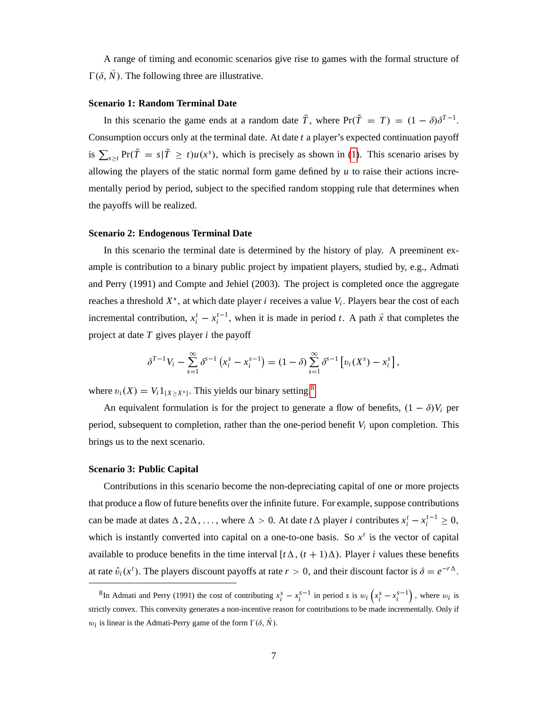A range of timing and economic scenarios give rise to games with the formal structure of  $\Gamma(\delta, N)$ . The following three are illustrative.

#### **Scenario 1: Random Terminal Date**

In this scenario the game ends at a random date  $\tilde{T}$ , where  $Pr(\tilde{T} = T) = (1 - \delta)\delta^{T-1}$ . Consumption occurs only at the terminal date. At date *t* a player's expected continuation payoff is  $\sum_{s \geq t} Pr(\tilde{T} = s | \tilde{T} \geq t) u(x^s)$ , which is precisely as shown in [\(1\)](#page-6-2). This scenario arises by allowing the players of the static normal form game defined by *u* to raise their actions incrementally period by period, subject to the specified random stopping rule that determines when the payoffs will be realized.

#### **Scenario 2: Endogenous Terminal Date**

In this scenario the terminal date is determined by the history of play. A preeminent example is contribution to a binary public project by impatient players, studied by, e.g., Admati and Perry (1991) and Compte and Jehiel (2003). The project is completed once the aggregate reaches a threshold  $X^*$ , at which date player *i* receives a value  $V_i$ . Players bear the cost of each incremental contribution,  $x_i^t - x_i^{t-1}$ , when it is made in period *t*. A path  $\vec{x}$  that completes the project at date *T* gives player *i* the payoff

$$
\delta^{T-1}V_i - \sum_{s=1}^{\infty} \delta^{s-1} (x_i^s - x_i^{s-1}) = (1 - \delta) \sum_{s=1}^{\infty} \delta^{s-1} [v_i(X^s) - x_i^s],
$$

where  $v_i(X) = V_i 1_{\{X \ge X^*\}}$ . This yields our binary setting.<sup>[8](#page-8-0)</sup>

An equivalent formulation is for the project to generate a flow of benefits,  $(1 - \delta)V_i$  per period, subsequent to completion, rather than the one-period benefit  $V_i$  upon completion. This brings us to the next scenario.

#### **Scenario 3: Public Capital**

Contributions in this scenario become the non-depreciating capital of one or more projects that produce a flow of future benefits over the infinite future. For example, suppose contributions can be made at dates  $\Delta$ ,  $2\Delta$ , ..., where  $\Delta > 0$ . At date *t*  $\Delta$  player *i* contributes  $x_i^t - x_i^{t-1} \ge 0$ , which is instantly converted into capital on a one-to-one basis. So  $x<sup>t</sup>$  is the vector of capital available to produce benefits in the time interval  $[t\Delta, (t+1)\Delta)$ . Player *i* values these benefits at rate  $\hat{v}_i(x^t)$ . The players discount payoffs at rate  $r > 0$ , and their discount factor is  $\delta = e^{-r\Delta}$ .

<span id="page-8-0"></span><sup>&</sup>lt;sup>8</sup>In Admati and Perry (1991) the cost of contributing  $x_i^s - x_i^{s-1}$  in period *s* is  $w_i(x_i^s - x_i^{s-1})$ , where  $w_i$  is strictly convex. This convexity generates a non-incentive reason for contributions to be made incrementally. Only if  $w_i$  is linear is the Admati-Perry game of the form  $\Gamma(\delta, N)$ .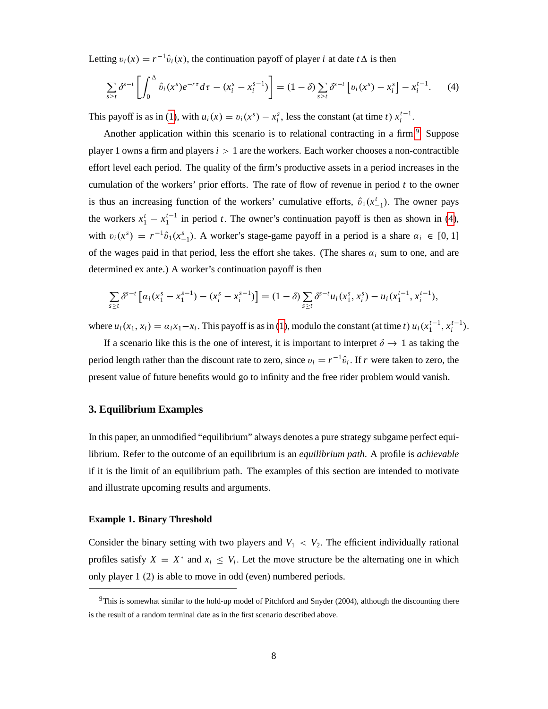Letting  $v_i(x) = r^{-1}\hat{v}_i(x)$ , the continuation payoff of player *i* at date  $t\Delta$  is then

<span id="page-9-2"></span>
$$
\sum_{s \geq t} \delta^{s-t} \left[ \int_0^{\Delta} \hat{v}_i(x^s) e^{-r\tau} d\tau - (x_i^s - x_i^{s-1}) \right] = (1 - \delta) \sum_{s \geq t} \delta^{s-t} \left[ v_i(x^s) - x_i^s \right] - x_i^{t-1}.
$$
 (4)

This payoff is as in [\(1\)](#page-6-2), with  $u_i(x) = v_i(x^s) - x_i^s$ , less the constant (at time *t*)  $x_i^{t-1}$ .

Another application within this scenario is to relational contracting in a firm.<sup>[9](#page-9-1)</sup> Suppose player 1 owns a firm and players  $i > 1$  are the workers. Each worker chooses a non-contractible effort level each period. The quality of the firm's productive assets in a period increases in the cumulation of the workers' prior efforts. The rate of flow of revenue in period *t* to the owner is thus an increasing function of the workers' cumulative efforts,  $\hat{v}_1(x_{-1}^t)$ . The owner pays the workers  $x_1^t - x_1^{t-1}$  in period *t*. The owner's continuation payoff is then as shown in [\(4\)](#page-9-2), with  $v_i(x^s) = r^{-1}\hat{v}_1(x_{-1}^s)$ . A worker's stage-game payoff in a period is a share  $\alpha_i \in [0, 1]$ of the wages paid in that period, less the effort she takes. (The shares  $\alpha_i$  sum to one, and are determined ex ante.) A worker's continuation payoff is then

$$
\sum_{s\geq t} \delta^{s-t} \left[ \alpha_i (x_1^s - x_1^{s-1}) - (x_i^s - x_i^{s-1}) \right] = (1-\delta) \sum_{s\geq t} \delta^{s-t} u_i(x_1^s, x_i^s) - u_i(x_1^{t-1}, x_i^{t-1}),
$$

where  $u_i(x_1, x_i) = a_i x_1 - x_i$ . This payoff is as in [\(1\)](#page-6-2), modulo the constant (at time t)  $u_i(x_1^{t-1}, x_i^{t-1})$ .

If a scenario like this is the one of interest, it is important to interpret  $\delta \rightarrow 1$  as taking the period length rather than the discount rate to zero, since  $v_i = r^{-1}\hat{v}_i$ . If *r* were taken to zero, the present value of future benefits would go to infinity and the free rider problem would vanish.

## <span id="page-9-0"></span>**3. Equilibrium Examples**

In this paper, an unmodified "equilibrium" always denotes a pure strategy subgame perfect equilibrium. Refer to the outcome of an equilibrium is an *equilibrium path*. A profile is *achievable* if it is the limit of an equilibrium path. The examples of this section are intended to motivate and illustrate upcoming results and arguments.

#### **Example 1. Binary Threshold**

Consider the binary setting with two players and  $V_1 < V_2$ . The efficient individually rational profiles satisfy  $X = X^*$  and  $x_i \leq V_i$ . Let the move structure be the alternating one in which only player  $1(2)$  is able to move in odd (even) numbered periods.

<span id="page-9-1"></span><sup>9</sup>This is somewhat similar to the hold-up model of Pitchford and Snyder (2004), although the discounting there is the result of a random terminal date as in the first scenario described above.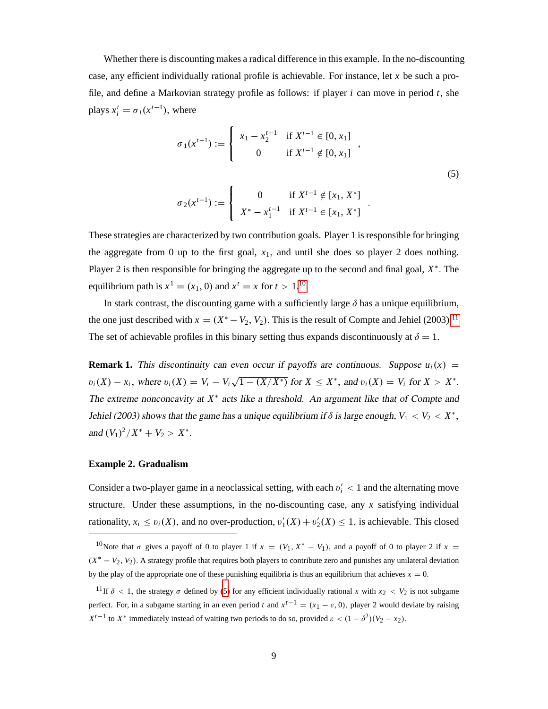Whether there is discounting makes a radical difference in this example. In the no-discounting case, any efficient individually rational profile is achievable. For instance, let *x* be such a profile, and define a Markovian strategy profile as follows: if player *i* can move in period *t*, she plays  $x_i^t = \sigma_i(x^{t-1})$ , where

$$
\sigma_1(x^{t-1}) := \begin{cases} x_1 - x_2^{t-1} & \text{if } X^{t-1} \in [0, x_1] \\ 0 & \text{if } X^{t-1} \notin [0, x_1] \end{cases},
$$
\n
$$
\begin{cases} 0 & \text{if } X^{t-1} \notin [x_1, x^{*1}] \end{cases}
$$
\n(5)

<span id="page-10-2"></span>:

$$
\sigma_2(x^{t-1}) := \begin{cases} 0 & \text{if } X^{t-1} \notin [x_1, X^*] \\ X^* - x_1^{t-1} & \text{if } X^{t-1} \in [x_1, X^*] \end{cases}
$$

These strategies are characterized by two contribution goals. Player 1 is responsible for bringing the aggregate from 0 up to the first goal,  $x_1$ , and until she does so player 2 does nothing. Player 2 is then responsible for bringing the aggregate up to the second and final goal,  $X^*$ . The equilibrium path is  $x^1 = (x_1, 0)$  and  $x^t = x$  for  $t > 1$ .<sup>[10](#page-10-0)</sup>

In stark contrast, the discounting game with a sufficiently large  $\delta$  has a unique equilibrium, the one just described with  $x = (X^* - V_2, V_2)$ . This is the result of Compte and Jehiel (2003).<sup>[11](#page-10-1)</sup> The set of achievable profiles in this binary setting thus expands discontinuously at  $\delta = 1$ .

**Remark 1.** This discontinuity can even occur if payoffs are continuous. Suppose  $u_i(x)$  =  $v_i(X) - x_i$ , where  $v_i(X) = V_i - V_i \sqrt{1 - (X/X^*)}$  for  $X \le X^*$ , and  $v_i(X) = V_i$  for  $X > X^*$ . The extreme nonconcavity at  $X^*$  acts like a threshold. An argument like that of Compte and Jehiel (2003) shows that the game has a unique equilibrium if  $\delta$  is large enough,  $V_1 < V_2 < X^*$ , and  $(V_1)^2/X^* + V_2 > X^*$ .

#### **Example 2. Gradualism**

Consider a two-player game in a neoclassical setting, with each  $v_i' < 1$  and the alternating move structure. Under these assumptions, in the no-discounting case, any *x* satisfying individual rationality,  $x_i \le v_i(X)$ , and no over-production,  $v'_1(X) + v'_2(X) \le 1$ , is achievable. This closed

<span id="page-10-0"></span><sup>&</sup>lt;sup>10</sup>Note that  $\sigma$  gives a payoff of 0 to player 1 if  $x = (V_1, X^* - V_1)$ , and a payoff of 0 to player 2 if  $x =$  $(X^* - V_2, V_2)$ . A strategy profile that requires both players to contribute zero and punishes any unilateral deviation by the play of the appropriate one of these punishing equilibria is thus an equilibrium that achieves  $x = 0$ .

<span id="page-10-1"></span><sup>&</sup>lt;sup>11</sup>If  $\delta$  < 1, the strategy  $\sigma$  defined by [\(5\)](#page-10-2) for any efficient individually rational *x* with  $x_2$  <  $V_2$  is not subgame perfect. For, in a subgame starting in an even period *t* and  $x^{t-1} = (x_1 - \varepsilon, 0)$ , player 2 would deviate by raising  $X^{t-1}$  to  $X^*$  immediately instead of waiting two periods to do so, provided  $\varepsilon < (1 - \delta^2)(V_2 - x_2)$ .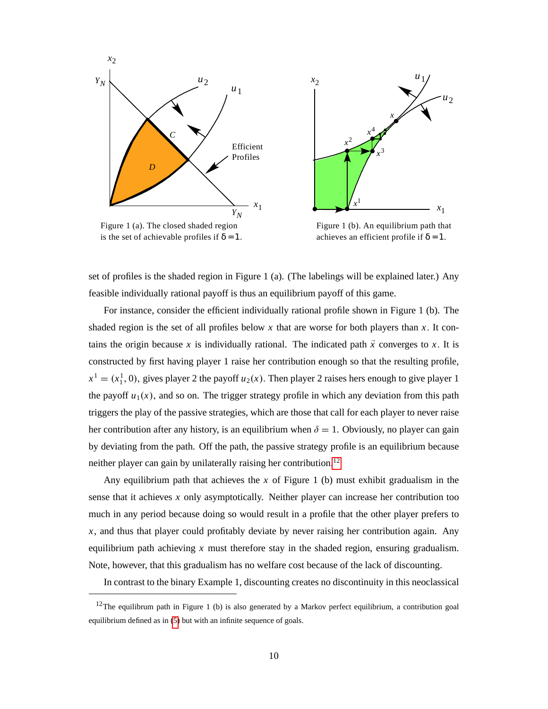



Figure 1 (a). The closed shaded region is the set of achievable profiles if  $\delta = 1$ .

Figure 1 (b). An equilibrium path that achieves an efficient profile if  $\delta = 1$ .

set of profiles is the shaded region in Figure 1 (a). (The labelings will be explained later.) Any feasible individually rational payoff is thus an equilibrium payoff of this game.

For instance, consider the efficient individually rational profile shown in Figure 1 (b). The shaded region is the set of all profiles below  $x$  that are worse for both players than  $x$ . It contains the origin because *x* is individually rational. The indicated path  $\vec{x}$  converges to *x*. It is constructed by first having player 1 raise her contribution enough so that the resulting profile,  $x^1 = (x_1^1, 0)$ , gives player 2 the payoff *u*<sub>2</sub>(*x*). Then player 2 raises hers enough to give player 1 the payoff  $u_1(x)$ , and so on. The trigger strategy profile in which any deviation from this path triggers the play of the passive strategies, which are those that call for each player to never raise her contribution after any history, is an equilibrium when  $\delta = 1$ . Obviously, no player can gain by deviating from the path. Off the path, the passive strategy profile is an equilibrium because neither player can gain by unilaterally raising her contribution.[12](#page-11-0)

Any equilibrium path that achieves the *x* of Figure 1 (b) must exhibit gradualism in the sense that it achieves *x* only asymptotically. Neither player can increase her contribution too much in any period because doing so would result in a profile that the other player prefers to *x*, and thus that player could profitably deviate by never raising her contribution again. Any equilibrium path achieving *x* must therefore stay in the shaded region, ensuring gradualism. Note, however, that this gradualism has no welfare cost because of the lack of discounting.

In contrast to the binary Example 1, discounting creates no discontinuity in this neoclassical

<span id="page-11-0"></span><sup>&</sup>lt;sup>12</sup>The equilibrum path in Figure 1 (b) is also generated by a Markov perfect equilibrium, a contribution goal equilibrium defined as in [\(5\)](#page-10-2) but with an infinite sequence of goals.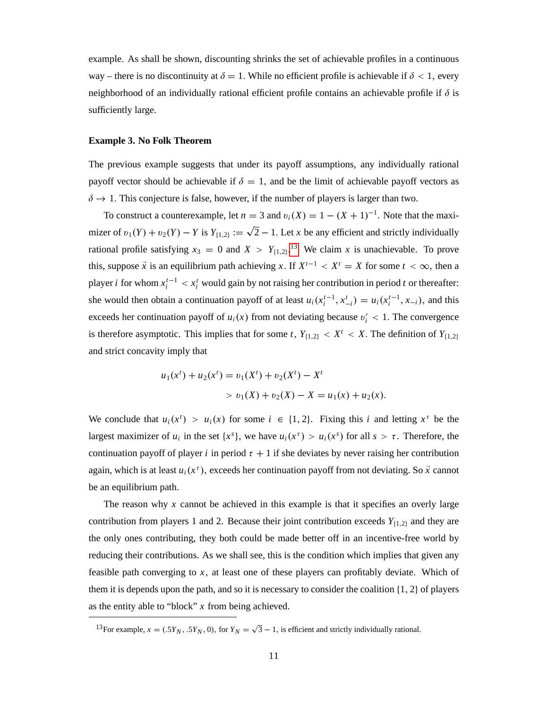example. As shall be shown, discounting shrinks the set of achievable profiles in a continuous way – there is no discontinuity at  $\delta = 1$ . While no efficient profile is achievable if  $\delta < 1$ , every neighborhood of an individually rational efficient profile contains an achievable profile if  $\delta$  is sufficiently large.

#### **Example 3. No Folk Theorem**

The previous example suggests that under its payoff assumptions, any individually rational payoff vector should be achievable if  $\delta = 1$ , and be the limit of achievable payoff vectors as  $\delta \rightarrow 1$ . This conjecture is false, however, if the number of players is larger than two.

To construct a counterexample, let  $n = 3$  and  $v_i(X) = 1 - (X + 1)^{-1}$ . Note that the maximizer of  $v_1(Y) + v_2(Y) - Y$  is  $Y_{\{1,2\}} := \sqrt{2} - 1$ . Let *x* be any efficient and strictly individually rational profile satisfying  $x_3 = 0$  and  $X > Y_{\{1,2\}}$ .<sup>[13](#page-12-0)</sup> We claim *x* is unachievable. To prove this, suppose  $\vec{x}$  is an equilibrium path achieving *x*. If  $X^{t-1} < X^t = X$  for some  $t < \infty$ , then a player *i* for whom  $x_i^{t-1} < x_i^t$  would gain by not raising her contribution in period *t* or thereafter: she would then obtain a continuation payoff of at least  $u_i(x_i^{t-1}, x_{-i}^t) = u_i(x_i^{t-1}, x_{-i})$ , and this exceeds her continuation payoff of  $u_i(x)$  from not deviating because  $v'_i < 1$ . The convergence is therefore asymptotic. This implies that for some *t*,  $Y_{\{1,2\}} < X^t < X$ . The definition of  $Y_{\{1,2\}}$ and strict concavity imply that

$$
u_1(x^t) + u_2(x^t) = v_1(X^t) + v_2(X^t) - X^t
$$
  
> 
$$
v_1(X) + v_2(X) - X = u_1(x) + u_2(x).
$$

We conclude that  $u_i(x^i) > u_i(x)$  for some  $i \in \{1, 2\}$ . Fixing this *i* and letting  $x^{\tau}$  be the largest maximizer of  $u_i$  in the set  $\{x^s\}$ , we have  $u_i(x^{\tau}) > u_i(x^s)$  for all  $s > \tau$ . Therefore, the continuation payoff of player *i* in period  $\tau + 1$  if she deviates by never raising her contribution again, which is at least  $u_i(x^{\tau})$ , exceeds her continuation payoff from not deviating. So  $\vec{x}$  cannot be an equilibrium path.

The reason why *x* cannot be achieved in this example is that it specifies an overly large contribution from players 1 and 2. Because their joint contribution exceeds  $Y_{\{1,2\}}$  and they are the only ones contributing, they both could be made better off in an incentive-free world by reducing their contributions. As we shall see, this is the condition which implies that given any feasible path converging to *x*; at least one of these players can profitably deviate. Which of them it is depends upon the path, and so it is necessary to consider the coalition  $\{1, 2\}$  of players as the entity able to "block" *x* from being achieved.

<span id="page-12-0"></span><sup>&</sup>lt;sup>13</sup>For example,  $x = (.5Y_N, .5Y_N, 0)$ , for  $Y_N = \sqrt{3} - 1$ , is efficient and strictly individually rational.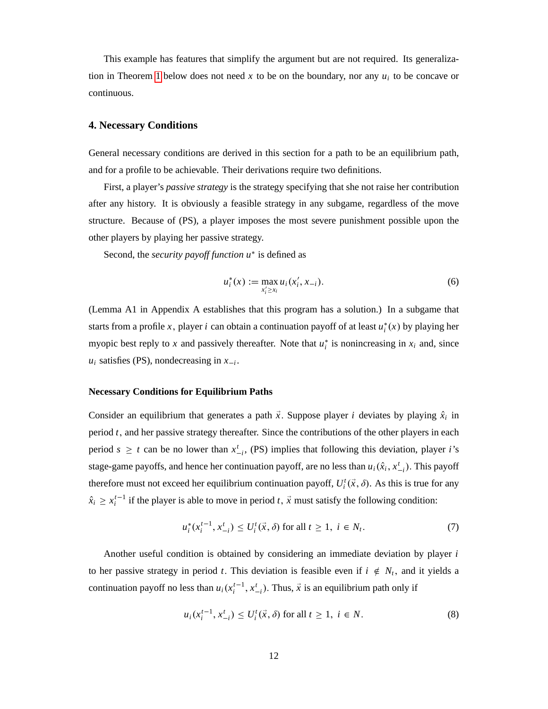This example has features that simplify the argument but are not required. Its generaliza-tion in Theorem [1](#page-15-0) below does not need  $x$  to be on the boundary, nor any  $u_i$  to be concave or continuous.

#### <span id="page-13-0"></span>**4. Necessary Conditions**

General necessary conditions are derived in this section for a path to be an equilibrium path, and for a profile to be achievable. Their derivations require two definitions.

First, a player's *passive strategy* is the strategy specifying that she not raise her contribution after any history. It is obviously a feasible strategy in any subgame, regardless of the move structure. Because of (PS), a player imposes the most severe punishment possible upon the other players by playing her passive strategy.

Second, the *security payoff function*  $u^*$  is defined as

<span id="page-13-3"></span>
$$
u_i^*(x) := \max_{x_i' \ge x_i} u_i(x_i', x_{-i}).
$$
\n(6)

(Lemma A1 in Appendix A establishes that this program has a solution.) In a subgame that starts from a profile *x*, player *i* can obtain a continuation payoff of at least  $u_i^*(x)$  by playing her myopic best reply to *x* and passively thereafter. Note that  $u_i^*$  is nonincreasing in  $x_i$  and, since  $u_i$  satisfies (PS), nondecreasing in  $x_{-i}$ .

#### **Necessary Conditions for Equilibrium Paths**

Consider an equilibrium that generates a path  $\vec{x}$ . Suppose player *i* deviates by playing  $\hat{x}_i$  in period *t*; and her passive strategy thereafter. Since the contributions of the other players in each period  $s \geq t$  can be no lower than  $x_{-i}^t$ , (PS) implies that following this deviation, player *i*'s stage-game payoffs, and hence her continuation payoff, are no less than  $u_i(\hat{x}_i, x_{-i}^t)$ . This payoff therefore must not exceed her equilibrium continuation payoff,  $U_i^t(\vec{x}, \delta)$ . As this is true for any  $\hat{x}_i \geq x_i^{t-1}$  if the player is able to move in period *t*,  $\vec{x}$  must satisfy the following condition:

<span id="page-13-2"></span>
$$
u_i^*(x_i^{t-1}, x_{-i}^t) \le U_i^t(\vec{x}, \delta) \text{ for all } t \ge 1, \ i \in N_t. \tag{7}
$$

Another useful condition is obtained by considering an immediate deviation by player *i* to her passive strategy in period *t*. This deviation is feasible even if  $i \notin N_t$ , and it yields a continuation payoff no less than  $u_i(x_i^{t-1}, x_{-i}^t)$ . Thus,  $\vec{x}$  is an equilibrium path only if

<span id="page-13-1"></span>
$$
u_i(x_i^{t-1}, x_{-i}^t) \le U_i^t(\vec{x}, \delta) \text{ for all } t \ge 1, \ i \in N. \tag{8}
$$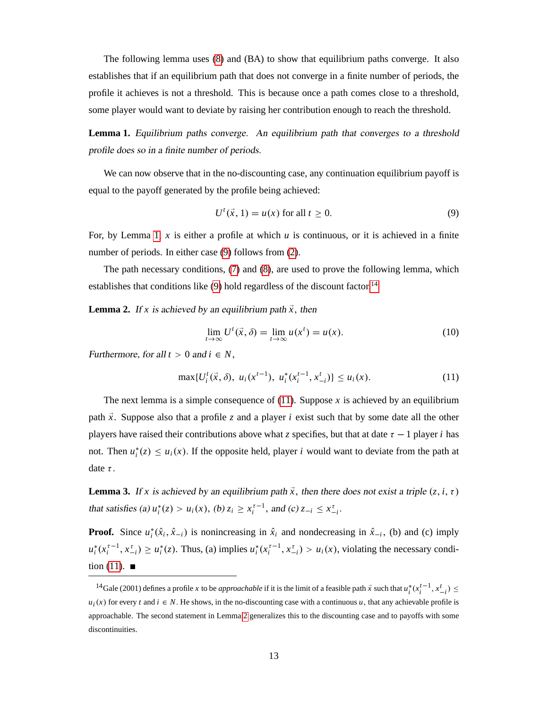The following lemma uses [\(8\)](#page-13-1) and (BA) to show that equilibrium paths converge. It also establishes that if an equilibrium path that does not converge in a finite number of periods, the profile it achieves is not a threshold. This is because once a path comes close to a threshold, some player would want to deviate by raising her contribution enough to reach the threshold.

<span id="page-14-1"></span>**Lemma 1.** Equilibrium paths converge. An equilibrium path that converges to a threshold profile does so in a finite number of periods.

We can now observe that in the no-discounting case, any continuation equilibrium payoff is equal to the payoff generated by the profile being achieved:

<span id="page-14-2"></span>
$$
U^t(\vec{x}, 1) = u(x) \text{ for all } t \ge 0.
$$
 (9)

For, by Lemma [1,](#page-14-1) *x* is either a profile at which *u* is continuous, or it is achieved in a finite number of periods. In either case [\(9\)](#page-14-2) follows from [\(2\)](#page-6-3).

The path necessary conditions, [\(7\)](#page-13-2) and [\(8\)](#page-13-1), are used to prove the following lemma, which establishes that conditions like  $(9)$  hold regardless of the discount factor.<sup>[14](#page-14-3)</sup>

<span id="page-14-0"></span>**Lemma 2.** If *x* is achieved by an equilibrium path  $\vec{x}$ , then

<span id="page-14-6"></span>
$$
\lim_{t \to \infty} U^t(\vec{x}, \delta) = \lim_{t \to \infty} u(x^t) = u(x). \tag{10}
$$

Furthermore, for all  $t > 0$  and  $i \in N$ ,

<span id="page-14-4"></span>
$$
\max\{U_i^t(\vec{x},\delta),\ u_i(x^{t-1}),\ u_i^*(x_i^{t-1},x_{-i}^t)\}\leq u_i(x). \tag{11}
$$

The next lemma is a simple consequence of  $(11)$ . Suppose x is achieved by an equilibrium path  $\vec{x}$ . Suppose also that a profile *z* and a player *i* exist such that by some date all the other players have raised their contributions above what *z* specifies, but that at date  $\tau - 1$  player *i* has not. Then  $u_i^*(z) \le u_i(x)$ . If the opposite held, player *i* would want to deviate from the path at date  $\tau$ .

<span id="page-14-5"></span>**Lemma 3.** If *x* is achieved by an equilibrium path  $\vec{x}$ , then there does not exist a triple  $(z, i, \tau)$ that satisfies (a)  $u_i^*(z) > u_i(x)$ , (b)  $z_i \ge x_i^{\tau-1}$ , and (c)  $z_{-i} \le x_{-i}^{\tau}$ .

**Proof.** Since  $u_i^*(\hat{x}_i, \hat{x}_{-i})$  is nonincreasing in  $\hat{x}_i$  and nondecreasing in  $\hat{x}_{-i}$ , (b) and (c) imply  $u_i^*(x_i^{\tau-1}, x_{-i}^{\tau}) \ge u_i^*(z)$ . Thus, (a) implies  $u_i^*(x_i^{\tau-1}, x_{-i}^{\tau}) > u_i(x)$ , violating the necessary condi-tion [\(11\)](#page-14-4).  $\blacksquare$ 

<span id="page-14-3"></span><sup>&</sup>lt;sup>14</sup>Gale (2001) defines a profile *x* to be *approachable* if it is the limit of a feasible path  $\vec{x}$  such that  $u_i^*(x_i^{t-1}, x_{-i}^t) \le$  $u_i(x)$  for every *t* and  $i \in N$ . He shows, in the no-discounting case with a continuous *u*, that any achievable profile is approachable. The second statement in Lemma [2](#page-14-0) generalizes this to the discounting case and to payoffs with some discontinuities.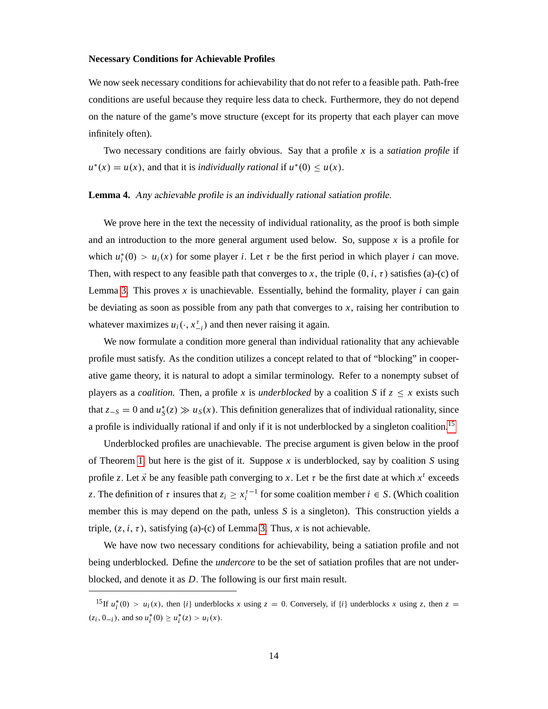#### **Necessary Conditions for Achievable Profiles**

We now seek necessary conditions for achievability that do not refer to a feasible path. Path-free conditions are useful because they require less data to check. Furthermore, they do not depend on the nature of the game's move structure (except for its property that each player can move infinitely often).

Two necessary conditions are fairly obvious. Say that a profile *x* is a *satiation profile* if  $u^*(x) = u(x)$ , and that it is *individually rational* if  $u^*(0) \le u(x)$ .

#### <span id="page-15-2"></span>**Lemma 4.** Any achievable profile is an individually rational satiation profile.

We prove here in the text the necessity of individual rationality, as the proof is both simple and an introduction to the more general argument used below. So, suppose *x* is a profile for which  $u_i^*(0) > u_i(x)$  for some player *i*. Let  $\tau$  be the first period in which player *i* can move. Then, with respect to any feasible path that converges to x, the triple  $(0, i, \tau)$  satisfies (a)-(c) of Lemma [3.](#page-14-5) This proves  $x$  is unachievable. Essentially, behind the formality, player  $i$  can gain be deviating as soon as possible from any path that converges to *x*, raising her contribution to whatever maximizes  $u_i(\cdot, x_{-i}^{\tau})$  and then never raising it again.

We now formulate a condition more general than individual rationality that any achievable profile must satisfy. As the condition utilizes a concept related to that of "blocking" in cooperative game theory, it is natural to adopt a similar terminology. Refer to a nonempty subset of players as a *coalition*. Then, a profile *x* is *underblocked* by a coalition *S* if  $z \leq x$  exists such that  $z-s = 0$  and  $u_s^*(z) \gg u_s(x)$ . This definition generalizes that of individual rationality, since a profile is individually rational if and only if it is not underblocked by a singleton coalition.[15](#page-15-1)

Underblocked profiles are unachievable. The precise argument is given below in the proof of Theorem [1,](#page-15-0) but here is the gist of it. Suppose *x* is underblocked, say by coalition *S* using profile *z*. Let  $\vec{x}$  be any feasible path converging to *x*. Let  $\tau$  be the first date at which  $x^t$  exceeds z. The definition of  $\tau$  insures that  $z_i \ge x_i^{\tau-1}$  for some coalition member  $i \in S$ . (Which coalition member this is may depend on the path, unless *S* is a singleton). This construction yields a triple,  $(z, i, \tau)$ , satisfying (a)-(c) of Lemma [3.](#page-14-5) Thus, *x* is not achievable.

We have now two necessary conditions for achievability, being a satiation profile and not being underblocked. Define the *undercore* to be the set of satiation profiles that are not underblocked, and denote it as *D*: The following is our first main result.

<span id="page-15-1"></span><span id="page-15-0"></span><sup>&</sup>lt;sup>15</sup>If  $u_i^*(0) > u_i(x)$ , then  $\{i\}$  underblocks *x* using  $z = 0$ . Conversely, if  $\{i\}$  underblocks *x* using *z*, then  $z = 0$ .  $(z_i, 0_{-i})$ , and so  $u_i^*(0) \ge u_i^*(z) > u_i(x)$ .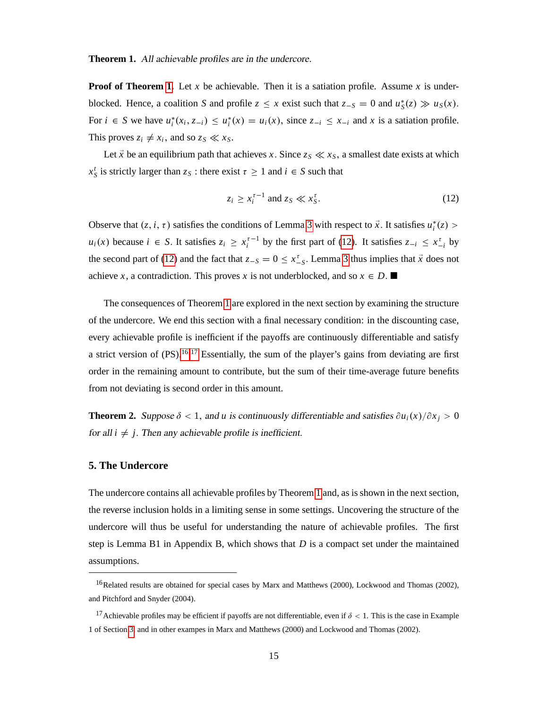**Theorem 1.** All achievable profiles are in the undercore.

**Proof of Theorem [1.](#page-15-0)** Let *x* be achievable. Then it is a satiation profile. Assume *x* is underblocked. Hence, a coalition *S* and profile  $z \leq x$  exist such that  $z-s = 0$  and  $u_s^*(z) \gg u_s(x)$ . For  $i \in S$  we have  $u_i^*(x_i, z_{-i}) \le u_i^*(x) = u_i(x)$ , since  $z_{-i} \le x_{-i}$  and x is a satiation profile. This proves  $z_i \neq x_i$ , and so  $z_s \ll x_s$ .

Let  $\vec{x}$  be an equilibrium path that achieves *x*. Since  $z_s \ll x_s$ , a smallest date exists at which  $x_S^t$  is strictly larger than  $z_S$ : there exist  $\tau \ge 1$  and  $i \in S$  such that

<span id="page-16-2"></span>
$$
z_i \ge x_i^{\tau - 1} \text{ and } z_S \ll x_S^{\tau}.
$$
 (12)

Observe that  $(z, i, \tau)$  satisfies the conditions of Lemma [3](#page-14-5) with respect to  $\vec{x}$ . It satisfies  $u_i^*(z)$  $u_i(x)$  because  $i \in S$ . It satisfies  $z_i \ge x_i^{t-1}$  by the first part of [\(12\)](#page-16-2). It satisfies  $z_{-i} \le x_{-i}^t$  by the second part of [\(12\)](#page-16-2) and the fact that  $z-s = 0 \le x_{-S}^{\tau}$ . Lemma [3](#page-14-5) thus implies that  $\vec{x}$  does not achieve *x*, a contradiction. This proves *x* is not underblocked, and so  $x \in D$ .

The consequences of Theorem [1](#page-15-0) are explored in the next section by examining the structure of the undercore. We end this section with a final necessary condition: in the discounting case, every achievable profile is inefficient if the payoffs are continuously differentiable and satisfy a strict version of  $(PS)$ .<sup>[16,](#page-16-3)[17](#page-16-4)</sup> Essentially, the sum of the player's gains from deviating are first order in the remaining amount to contribute, but the sum of their time-average future benefits from not deviating is second order in this amount.

<span id="page-16-0"></span>**Theorem 2.** Suppose  $\delta < 1$ , and *u* is continuously differentiable and satisfies  $\partial u_i(x)/\partial x_i > 0$ for all  $i \neq j$ . Then any achievable profile is inefficient.

#### <span id="page-16-1"></span>**5. The Undercore**

The undercore contains all achievable profiles by Theorem [1](#page-15-0) and, as is shown in the next section, the reverse inclusion holds in a limiting sense in some settings. Uncovering the structure of the undercore will thus be useful for understanding the nature of achievable profiles. The first step is Lemma B1 in Appendix B, which shows that *D* is a compact set under the maintained assumptions.

<span id="page-16-3"></span><sup>&</sup>lt;sup>16</sup>Related results are obtained for special cases by Marx and Matthews (2000), Lockwood and Thomas (2002), and Pitchford and Snyder (2004).

<span id="page-16-4"></span><sup>&</sup>lt;sup>17</sup>Achievable profiles may be efficient if payoffs are not differentiable, even if  $\delta$  < 1. This is the case in Example 1 of Section [3,](#page-9-0) and in other exampes in Marx and Matthews (2000) and Lockwood and Thomas (2002).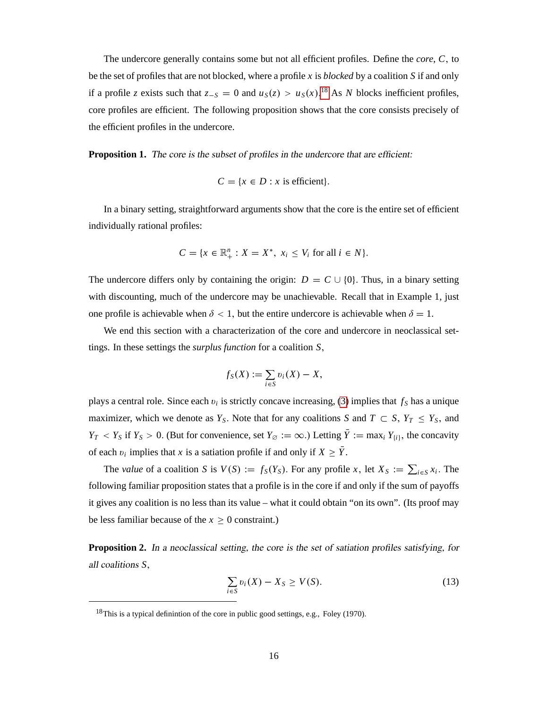The undercore generally contains some but not all efficient profiles. Define the *core*, *C*; to be the set of profiles that are not blocked, where a profile *x* is *blocked* by a coalition *S* if and only if a profile *z* exists such that  $z_{-S} = 0$  and  $u_S(z) > u_S(x)$ .<sup>[18](#page-17-1)</sup> As *N* blocks inefficient profiles, core profiles are efficient. The following proposition shows that the core consists precisely of the efficient profiles in the undercore.

<span id="page-17-0"></span>**Proposition 1.** The core is the subset of profiles in the undercore that are efficient:

$$
C = \{x \in D : x \text{ is efficient}\}.
$$

In a binary setting, straightforward arguments show that the core is the entire set of efficient individually rational profiles:

$$
C = \{x \in \mathbb{R}_+^n : X = X^*, \ x_i \le V_i \text{ for all } i \in N\}.
$$

The undercore differs only by containing the origin:  $D = C \cup \{0\}$ . Thus, in a binary setting with discounting, much of the undercore may be unachievable. Recall that in Example 1, just one profile is achievable when  $\delta$  < 1, but the entire undercore is achievable when  $\delta = 1$ .

We end this section with a characterization of the core and undercore in neoclassical settings. In these settings the *surplus function* for a coalition *S*;

$$
f_S(X) := \sum_{i \in S} v_i(X) - X,
$$

plays a central role. Since each  $v_i$  is strictly concave increasing, [\(3\)](#page-7-1) implies that  $f_s$  has a unique maximizer, which we denote as  $Y_s$ . Note that for any coalitions *S* and  $T \subset S$ ,  $Y_T \leq Y_s$ , and  $Y_T$  < *Y<sub>S</sub>* if *Y<sub>S</sub>* > 0. (But for convenience, set *Y*<sub> $\varnothing$ </sub> :=  $\infty$ .) Letting  $\overline{Y}$  := max<sub>*i*</sub> *Y*<sub>*ii*</sub>, the concavity of each  $v_i$  implies that *x* is a satiation profile if and only if  $X \geq Y$ .

The *value* of a coalition *S* is  $V(S) := f_S(Y_S)$ . For any profile *x*, let  $X_S := \sum_{i \in S} x_i$ . The following familiar proposition states that a profile is in the core if and only if the sum of payoffs it gives any coalition is no less than its value – what it could obtain "on its own". (Its proof may be less familiar because of the  $x \geq 0$  constraint.)

<span id="page-17-3"></span>**Proposition 2.** In a neoclassical setting, the core is the set of satiation profiles satisfying, for all coalitions *S*;

<span id="page-17-2"></span>
$$
\sum_{i \in S} v_i(X) - X_S \ge V(S). \tag{13}
$$

<span id="page-17-1"></span><sup>&</sup>lt;sup>18</sup>This is a typical definintion of the core in public good settings, e.g., Foley (1970).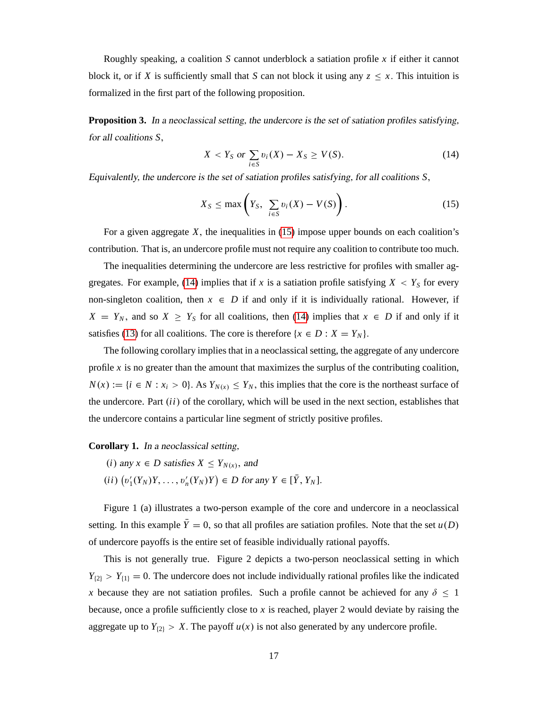Roughly speaking, a coalition *S* cannot underblock a satiation profile *x* if either it cannot block it, or if *X* is sufficiently small that *S* can not block it using any  $z \leq x$ . This intuition is formalized in the first part of the following proposition.

<span id="page-18-2"></span>**Proposition 3.** In a neoclassical setting, the undercore is the set of satiation profiles satisfying, for all coalitions *S*;

<span id="page-18-1"></span>
$$
X < Y_S \text{ or } \sum_{i \in S} v_i(X) - X_S \ge V(S). \tag{14}
$$

Equivalently, the undercore is the set of satiation profiles satisfying, for all coalitions *S*;

<span id="page-18-0"></span>
$$
X_S \le \max\left(Y_S, \sum_{i \in S} v_i(X) - V(S)\right). \tag{15}
$$

For a given aggregate *X*; the inequalities in [\(15\)](#page-18-0) impose upper bounds on each coalition's contribution. That is, an undercore profile must not require any coalition to contribute too much.

The inequalities determining the undercore are less restrictive for profiles with smaller ag-gregates. For example, [\(14\)](#page-18-1) implies that if *x* is a satiation profile satisfying  $X < Y_S$  for every non-singleton coalition, then  $x \in D$  if and only if it is individually rational. However, if  $X = Y_N$ , and so  $X \geq Y_S$  for all coalitions, then [\(14\)](#page-18-1) implies that  $x \in D$  if and only if it satisfies [\(13\)](#page-17-2) for all coalitions. The core is therefore  $\{x \in D : X = Y_N\}$ .

The following corollary implies that in a neoclassical setting, the aggregate of any undercore profile  $x$  is no greater than the amount that maximizes the surplus of the contributing coalition,  $N(x) := \{i \in N : x_i > 0\}$ . As  $Y_{N(x)} \le Y_N$ , this implies that the core is the northeast surface of the undercore. Part  $(ii)$  of the corollary, which will be used in the next section, establishes that the undercore contains a particular line segment of strictly positive profiles.

#### <span id="page-18-3"></span>**Corollary 1.** In a neoclassical setting,

- $(i)$  any  $x \in D$  satisfies  $X \leq Y_{N(x)}$ , and
- $(v'_1(Y_N)Y, \ldots, v'_n(Y_N)Y) \in D$  for any  $Y \in [\bar{Y}, Y_N].$

Figure 1 (a) illustrates a two-person example of the core and undercore in a neoclassical setting. In this example  $\bar{Y}=0$ , so that all profiles are satiation profiles. Note that the set  $u(D)$ of undercore payoffs is the entire set of feasible individually rational payoffs.

This is not generally true. Figure 2 depicts a two-person neoclassical setting in which  $Y_{(2)} > Y_{(1)} = 0$ . The undercore does not include individually rational profiles like the indicated *x* because they are not satiation profiles. Such a profile cannot be achieved for any  $\delta \leq 1$ because, once a profile sufficiently close to *x* is reached, player 2 would deviate by raising the aggregate up to  $Y_{(2)} > X$ . The payoff  $u(x)$  is not also generated by any undercore profile.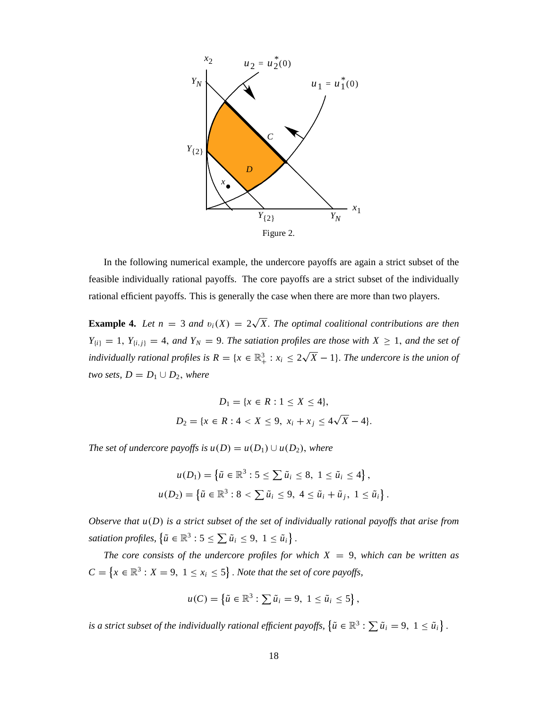

In the following numerical example, the undercore payoffs are again a strict subset of the feasible individually rational payoffs. The core payoffs are a strict subset of the individually rational efficient payoffs. This is generally the case when there are more than two players.

**Example 4.** Let  $n = 3$  and  $v_i(X) = 2\sqrt{X}$ . The optimal coalitional contributions are then  $Y_{\{i\}} = 1$ ,  $Y_{\{i,j\}} = 4$ , *and*  $Y_N = 9$ . *The satiation profiles are those with*  $X \geq 1$ , *and the set of individually rational profiles is*  $R = \{x \in \mathbb{R}^3_+ : x_i \leq 2\sqrt{X} - 1\}$ . The undercore is the union of *two sets,*  $D = D_1 \cup D_2$ *, where* 

$$
D_1 = \{x \in R : 1 \le X \le 4\},\
$$
  

$$
D_2 = \{x \in R : 4 < X \le 9, \ x_i + x_j \le 4\sqrt{X} - 4\}.
$$

*The set of undercore payoffs is*  $u(D) = u(D_1) \cup u(D_2)$ , where

$$
u(D_1) = \{\tilde{u} \in \mathbb{R}^3 : 5 \le \sum \tilde{u}_i \le 8, \ 1 \le \tilde{u}_i \le 4\},\
$$
  

$$
u(D_2) = \{\tilde{u} \in \mathbb{R}^3 : 8 < \sum \tilde{u}_i \le 9, \ 4 \le \tilde{u}_i + \tilde{u}_j, \ 1 \le \tilde{u}_i\}.
$$

*Observe that u(D) is a strict subset of the set of individually rational payoffs that arise from* satiation profiles,  $\left\{ \tilde{u} \in \mathbb{R}^3 : 5 \le \sum \tilde{u}_i \le 9, 1 \le \tilde{u}_i \right\}.$ 

*The core consists of the undercore profiles for which*  $X = 9$ , *which can be written as*  $C = \{x \in \mathbb{R}^3 : X = 9, 1 \le x_i \le 5\}$ . Note that the set of core payoffs,

$$
u(C) = \left\{ \tilde{u} \in \mathbb{R}^3 : \sum \tilde{u}_i = 9, 1 \leq \tilde{u}_i \leq 5 \right\},\
$$

is a strict subset of the individually rational efficient payoffs,  $\left\{ \tilde{u} \in \mathbb{R}^3 : \sum \tilde{u}_i = 9, 1 \leq \tilde{u}_i \right\}$ .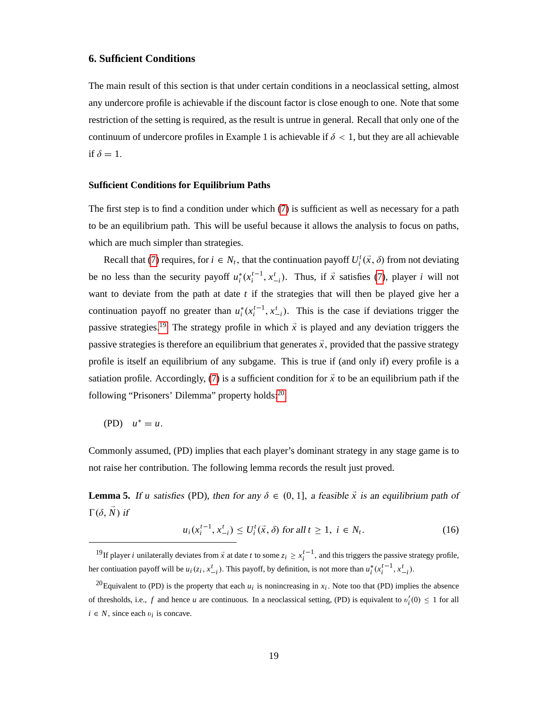# <span id="page-20-1"></span>**6. Sufficient Conditions**

The main result of this section is that under certain conditions in a neoclassical setting, almost any undercore profile is achievable if the discount factor is close enough to one. Note that some restriction of the setting is required, as the result is untrue in general. Recall that only one of the continuum of undercore profiles in Example 1 is achievable if  $\delta$  < 1, but they are all achievable if  $\delta = 1$ .

#### **Sufficient Conditions for Equilibrium Paths**

The first step is to find a condition under which [\(7\)](#page-13-2) is sufficient as well as necessary for a path to be an equilibrium path. This will be useful because it allows the analysis to focus on paths, which are much simpler than strategies.

Recall that [\(7\)](#page-13-2) requires, for  $i \in N_t$ , that the continuation payoff  $U_i^t(\vec{x}, \delta)$  from not deviating be no less than the security payoff  $u_i^*(x_i^{t-1}, x_{-i}^t)$ . Thus, if  $\vec{x}$  satisfies [\(7\)](#page-13-2), player *i* will not want to deviate from the path at date *t* if the strategies that will then be played give her a continuation payoff no greater than  $u_i^*(x_i^{t-1}, x_{-i}^t)$ . This is the case if deviations trigger the passive strategies.<sup>[19](#page-20-2)</sup> The strategy profile in which  $\vec{x}$  is played and any deviation triggers the passive strategies is therefore an equilibrium that generates  $\vec{x}$ , provided that the passive strategy profile is itself an equilibrium of any subgame. This is true if (and only if) every profile is a satiation profile. Accordingly, [\(7\)](#page-13-2) is a sufficient condition for  $\vec{x}$  to be an equilibrium path if the following "Prisoners' Dilemma" property holds:[20](#page-20-3)

$$
(PD) \quad u^* = u.
$$

Commonly assumed, (PD) implies that each player's dominant strategy in any stage game is to not raise her contribution. The following lemma records the result just proved.

<span id="page-20-0"></span>**Lemma 5.** If *u* satisfies (PD), then for any  $\delta \in (0, 1]$ , a feasible  $\vec{x}$  is an equilibrium path of  $\Gamma(\delta, \vec{N})$  if

$$
u_i(x_i^{t-1}, x_{-i}^t) \le U_i^t(\vec{x}, \delta) \text{ for all } t \ge 1, \ i \in N_t. \tag{16}
$$

<span id="page-20-2"></span><sup>&</sup>lt;sup>19</sup>If player *i* unilaterally deviates from  $\vec{x}$  at date *t* to some  $z_i \ge x_i^{t-1}$ , and this triggers the passive strategy profile, her contiuation payoff will be  $u_i(z_i, x_{-i}^t)$ . This payoff, by definition, is not more than  $u_i^*(x_i^{t-1}, x_{-i}^t)$ .

<span id="page-20-3"></span><sup>&</sup>lt;sup>20</sup>Equivalent to (PD) is the property that each  $u_i$  is nonincreasing in  $x_i$ . Note too that (PD) implies the absence of thresholds, i.e.,  $f$  and hence  $u$  are continuous. In a neoclassical setting, (PD) is equivalent to  $v_i'(0) \le 1$  for all  $i \in N$ , since each  $v_i$  is concave.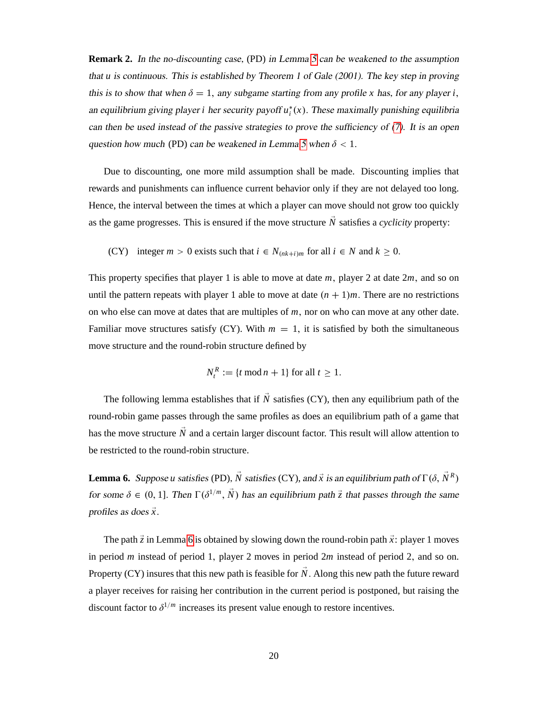**Remark 2.** In the no-discounting case, (PD) in Lemma [5](#page-20-0) can be weakened to the assumption that *u* is continuous. This is established by Theorem 1 of Gale (2001). The key step in proving this is to show that when  $\delta = 1$ , any subgame starting from any profile *x* has, for any player *i*, an equilibrium giving player *i* her security payoff  $u_i^*(x)$ . These maximally punishing equilibria can then be used instead of the passive strategies to prove the sufficiency of [\(7\)](#page-13-2). It is an open question how much (PD) can be weakened in Lemma [5](#page-20-0) when  $\delta$  < 1.

Due to discounting, one more mild assumption shall be made. Discounting implies that rewards and punishments can influence current behavior only if they are not delayed too long. Hence, the interval between the times at which a player can move should not grow too quickly as the game progresses. This is ensured if the move structure  $\vec{N}$  satisfies a *cyclicity* property:

(CY) integer  $m > 0$  exists such that  $i \in N_{(nk+i)m}$  for all  $i \in N$  and  $k \ge 0$ .

This property specifies that player 1 is able to move at date *m*; player 2 at date 2*m*; and so on until the pattern repeats with player 1 able to move at date  $(n + 1)m$ . There are no restrictions on who else can move at dates that are multiples of *m*; nor on who can move at any other date. Familiar move structures satisfy (CY). With  $m = 1$ , it is satisfied by both the simultaneous move structure and the round-robin structure defined by

$$
N_t^R := \{t \bmod n + 1\} \text{ for all } t \ge 1.
$$

The following lemma establishes that if  $\vec{N}$  satisfies (CY), then any equilibrium path of the round-robin game passes through the same profiles as does an equilibrium path of a game that has the move structure  $\vec{N}$  and a certain larger discount factor. This result will allow attention to be restricted to the round-robin structure.

<span id="page-21-0"></span>**Lemma 6.** Suppose *u* satisfies (PD),  $\tilde{N}$  satisfies (CY), and  $\vec{x}$  is an equilibrium path of  $\Gamma(\delta, \vec{N}^R)$ for some  $\delta \in (0, 1]$ . Then  $\Gamma(\delta^{1/m}, \vec{N})$  has an equilibrium path  $\vec{z}$  that passes through the same profiles as does  $\vec{x}$ .

The path  $\vec{z}$  in Lemma [6](#page-21-0) is obtained by slowing down the round-robin path  $\vec{x}$ : player 1 moves in period *m* instead of period 1, player 2 moves in period 2*m* instead of period 2, and so on. Property (CY) insures that this new path is feasible for  $\tilde{N}$ . Along this new path the future reward a player receives for raising her contribution in the current period is postponed, but raising the discount factor to  $\delta^{1/m}$  increases its present value enough to restore incentives.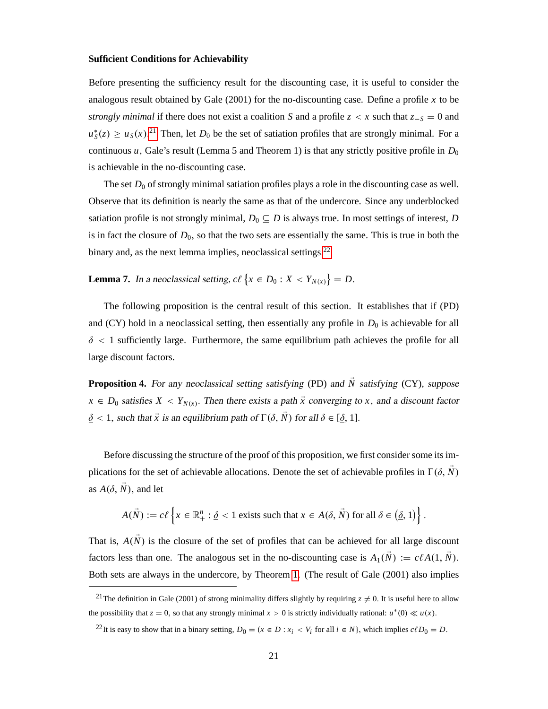#### **Sufficient Conditions for Achievability**

Before presenting the sufficiency result for the discounting case, it is useful to consider the analogous result obtained by Gale (2001) for the no-discounting case. Define a profile *x* to be *strongly minimal* if there does not exist a coalition *S* and a profile  $z < x$  such that  $z-s = 0$  and  $u_S^*(z) \ge u_S(x)$ <sup>[21](#page-22-1)</sup> Then, let *D*<sub>0</sub> be the set of satiation profiles that are strongly minimal. For a continuous *u*, Gale's result (Lemma 5 and Theorem 1) is that any strictly positive profile in  $D_0$ is achievable in the no-discounting case.

The set  $D_0$  of strongly minimal satiation profiles plays a role in the discounting case as well. Observe that its definition is nearly the same as that of the undercore. Since any underblocked satiation profile is not strongly minimal,  $D_0 \subseteq D$  is always true. In most settings of interest, *D* is in fact the closure of  $D_0$ , so that the two sets are essentially the same. This is true in both the binary and, as the next lemma implies, neoclassical settings.<sup>[22](#page-22-2)</sup>

<span id="page-22-3"></span>**Lemma 7.** In a neoclassical setting,  $c \ell \{ x \in D_0 : X < Y_{N(x)} \} = D$ .

The following proposition is the central result of this section. It establishes that if (PD) and (CY) hold in a neoclassical setting, then essentially any profile in  $D_0$  is achievable for all  $\delta$  < 1 sufficiently large. Furthermore, the same equilibrium path achieves the profile for all large discount factors.

<span id="page-22-0"></span>**Proposition 4.** For any neoclassical setting satisfying (PD) and  $\vec{N}$  satisfying (CY), suppose  $x \in D_0$  satisfies  $X < Y_{N(x)}$ . Then there exists a path  $\vec{x}$  converging to *x*, and a discount factor  $\delta$  < 1, such that  $\vec{x}$  is an equilibrium path of  $\Gamma(\delta, \vec{N})$  for all  $\delta \in [\delta, 1]$ .

Before discussing the structure of the proof of this proposition, we first consider some its implications for the set of achievable allocations. Denote the set of achievable profiles in  $\Gamma(\delta, N)$ as  $A(\delta, \vec{N})$ , and let

$$
A(\vec{N}) := c\ell \left\{ x \in \mathbb{R}_+^n : \underline{\delta} < 1 \text{ exists such that } x \in A(\delta, \vec{N}) \text{ for all } \delta \in \left(\underline{\delta}, 1\right) \right\}.
$$

That is,  $A(\vec{N})$  is the closure of the set of profiles that can be achieved for all large discount factors less than one. The analogous set in the no-discounting case is  $A_1(\vec{N}) := c\ell A(1, \vec{N})$ . Both sets are always in the undercore, by Theorem [1.](#page-15-0) (The result of Gale (2001) also implies

<span id="page-22-1"></span><sup>&</sup>lt;sup>21</sup>The definition in Gale (2001) of strong minimality differs slightly by requiring  $z \neq 0$ . It is useful here to allow the possibility that  $z = 0$ , so that any strongly minimal  $x > 0$  is strictly individually rational:  $u^*(0) \ll u(x)$ .

<span id="page-22-2"></span><sup>&</sup>lt;sup>22</sup>It is easy to show that in a binary setting,  $D_0 = (x \in D : x_i \lt V_i \text{ for all } i \in N$ , which implies  $c\ell D_0 = D$ .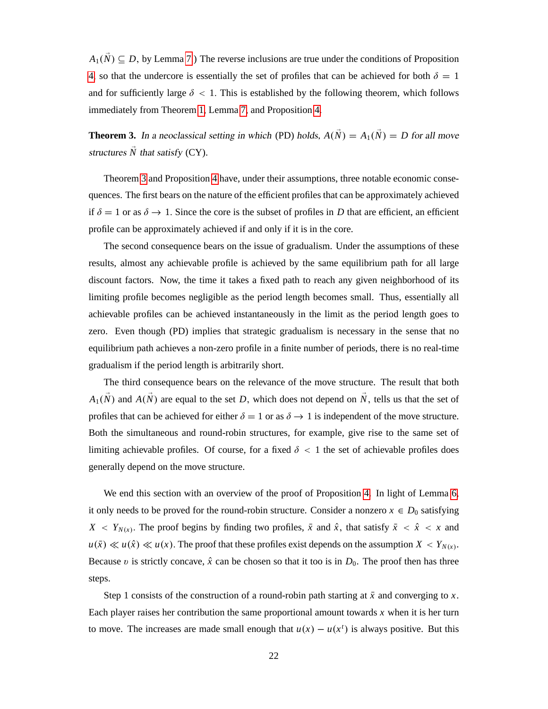$A_1(\vec{N}) \subseteq D$ , by Lemma [7.](#page-22-3)) The reverse inclusions are true under the conditions of Proposition [4,](#page-22-0) so that the undercore is essentially the set of profiles that can be achieved for both  $\delta = 1$ and for sufficiently large  $\delta$  < 1. This is established by the following theorem, which follows immediately from Theorem [1,](#page-15-0) Lemma [7,](#page-22-3) and Proposition [4.](#page-22-0)

<span id="page-23-0"></span>**Theorem 3.** In a neoclassical setting in which (PD) holds,  $A(\vec{N}) = A_1(\vec{N}) = D$  for all move structures  $\overline{N}$  that satisfy (CY).

Theorem [3](#page-23-0) and Proposition [4](#page-22-0) have, under their assumptions, three notable economic consequences. The first bears on the nature of the efficient profiles that can be approximately achieved if  $\delta = 1$  or as  $\delta \rightarrow 1$ . Since the core is the subset of profiles in *D* that are efficient, an efficient profile can be approximately achieved if and only if it is in the core.

The second consequence bears on the issue of gradualism. Under the assumptions of these results, almost any achievable profile is achieved by the same equilibrium path for all large discount factors. Now, the time it takes a fixed path to reach any given neighborhood of its limiting profile becomes negligible as the period length becomes small. Thus, essentially all achievable profiles can be achieved instantaneously in the limit as the period length goes to zero. Even though (PD) implies that strategic gradualism is necessary in the sense that no equilibrium path achieves a non-zero profile in a finite number of periods, there is no real-time gradualism if the period length is arbitrarily short.

The third consequence bears on the relevance of the move structure. The result that both  $A_1(\vec{N})$  and  $A(\vec{N})$  are equal to the set *D*, which does not depend on  $\vec{N}$ , tells us that the set of profiles that can be achieved for either  $\delta = 1$  or as  $\delta \rightarrow 1$  is independent of the move structure. Both the simultaneous and round-robin structures, for example, give rise to the same set of limiting achievable profiles. Of course, for a fixed  $\delta$  < 1 the set of achievable profiles does generally depend on the move structure.

We end this section with an overview of the proof of Proposition [4.](#page-22-0) In light of Lemma [6,](#page-21-0) it only needs to be proved for the round-robin structure. Consider a nonzero  $x \in D_0$  satisfying  $X \leq Y_{N(x)}$ . The proof begins by finding two profiles,  $\bar{x}$  and  $\hat{x}$ , that satisfy  $\bar{x} \leq \hat{x} \leq x$  and  $u(\bar{x}) \ll u(\hat{x}) \ll u(x)$ . The proof that these profiles exist depends on the assumption  $X < Y_{N(x)}$ . Because v is strictly concave,  $\hat{x}$  can be chosen so that it too is in  $D_0$ . The proof then has three steps.

Step 1 consists of the construction of a round-robin path starting at  $\bar{x}$  and converging to *x*. Each player raises her contribution the same proportional amount towards *x* when it is her turn to move. The increases are made small enough that  $u(x) - u(x^t)$  is always positive. But this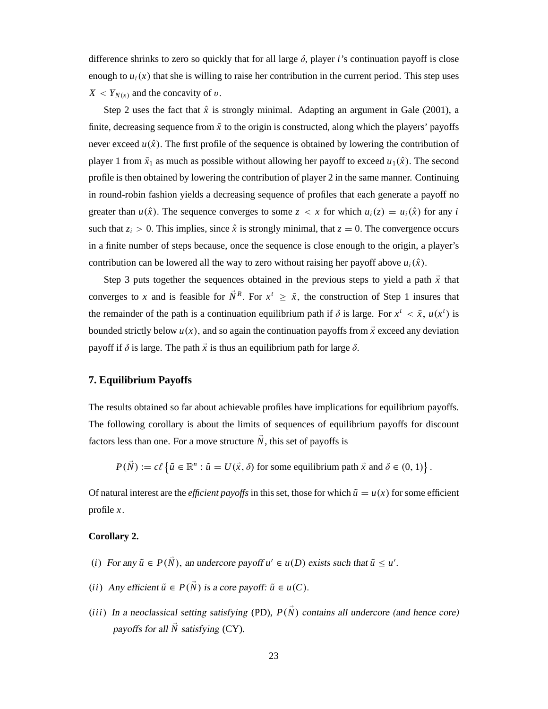difference shrinks to zero so quickly that for all large  $\delta$ , player *i*'s continuation payoff is close enough to  $u_i(x)$  that she is willing to raise her contribution in the current period. This step uses  $X < Y_{N(x)}$  and the concavity of v.

Step 2 uses the fact that  $\hat{x}$  is strongly minimal. Adapting an argument in Gale (2001), a finite, decreasing sequence from  $\bar{x}$  to the origin is constructed, along which the players' payoffs never exceed  $u(\hat{x})$ . The first profile of the sequence is obtained by lowering the contribution of player 1 from  $\bar{x}_1$  as much as possible without allowing her payoff to exceed  $u_1(\hat{x})$ . The second profile is then obtained by lowering the contribution of player 2 in the same manner. Continuing in round-robin fashion yields a decreasing sequence of profiles that each generate a payoff no greater than  $u(\hat{x})$ . The sequence converges to some  $z < x$  for which  $u_i(z) = u_i(\hat{x})$  for any *i* such that  $z_i > 0$ . This implies, since  $\hat{x}$  is strongly minimal, that  $z = 0$ . The convergence occurs in a finite number of steps because, once the sequence is close enough to the origin, a player's contribution can be lowered all the way to zero without raising her payoff above  $u_i(\hat{x})$ .

Step 3 puts together the sequences obtained in the previous steps to yield a path  $\vec{x}$  that converges to *x* and is feasible for  $\overline{N}^R$ . For  $x^t \geq \overline{x}$ , the construction of Step 1 insures that the remainder of the path is a continuation equilibrium path if  $\delta$  is large. For  $x^t < \bar{x}$ ,  $u(x^t)$  is bounded strictly below  $u(x)$ , and so again the continuation payoffs from  $\vec{x}$  exceed any deviation payoff if  $\delta$  is large. The path  $\vec{x}$  is thus an equilibrium path for large  $\delta$ .

### <span id="page-24-1"></span>**7. Equilibrium Payoffs**

The results obtained so far about achievable profiles have implications for equilibrium payoffs. The following corollary is about the limits of sequences of equilibrium payoffs for discount factors less than one. For a move structure  $\vec{N}$ , this set of payoffs is

 $P(\vec{N}) := c\ell \left\{ \tilde{u} \in \mathbb{R}^n : \tilde{u} = U(\vec{x}, \delta) \text{ for some equilibrium path } \vec{x} \text{ and } \delta \in (0, 1) \right\}.$ 

Of natural interest are the *efficient payoffs* in this set, those for which  $\tilde{u} = u(x)$  for some efficient profile *x*:

### <span id="page-24-0"></span>**Corollary 2.**

- *(i)* For any  $\tilde{u} \in P(N)$ , an undercore payoff  $u' \in u(D)$  exists such that  $\tilde{u} \leq u'$ .
- *(ii*) Any efficient  $\tilde{u} \in P(\vec{N})$  is a core payoff:  $\tilde{u} \in u(C)$ .
- *(iii)* In a neoclassical setting satisfying (PD),  $P(\vec{N})$  contains all undercore (and hence core) payoffs for all  $\overline{N}$  satisfying (CY).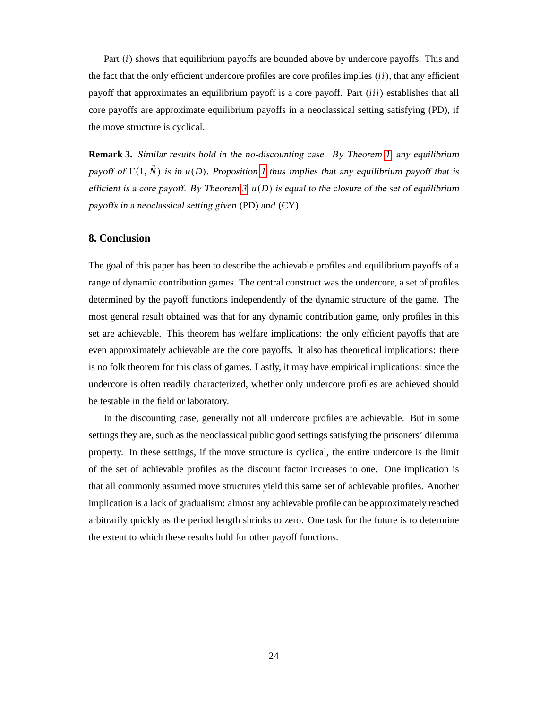Part (*i*) shows that equilibrium payoffs are bounded above by undercore payoffs. This and the fact that the only efficient undercore profiles are core profiles implies  $(ii)$ , that any efficient payoff that approximates an equilibrium payoff is a core payoff. Part *(iii)* establishes that all core payoffs are approximate equilibrium payoffs in a neoclassical setting satisfying (PD), if the move structure is cyclical.

**Remark 3.** Similar results hold in the no-discounting case. By Theorem [1,](#page-15-0) any equilibrium payoff of  $\Gamma(1, N)$  is in  $u(D)$ . Proposition [1](#page-17-0) thus implies that any equilibrium payoff that is efficient is a core payoff. By Theorem [3,](#page-23-0)  $u(D)$  is equal to the closure of the set of equilibrium payoffs in a neoclassical setting given (PD) and (CY).

# <span id="page-25-0"></span>**8. Conclusion**

The goal of this paper has been to describe the achievable profiles and equilibrium payoffs of a range of dynamic contribution games. The central construct was the undercore, a set of profiles determined by the payoff functions independently of the dynamic structure of the game. The most general result obtained was that for any dynamic contribution game, only profiles in this set are achievable. This theorem has welfare implications: the only efficient payoffs that are even approximately achievable are the core payoffs. It also has theoretical implications: there is no folk theorem for this class of games. Lastly, it may have empirical implications: since the undercore is often readily characterized, whether only undercore profiles are achieved should be testable in the field or laboratory.

In the discounting case, generally not all undercore profiles are achievable. But in some settings they are, such as the neoclassical public good settings satisfying the prisoners' dilemma property. In these settings, if the move structure is cyclical, the entire undercore is the limit of the set of achievable profiles as the discount factor increases to one. One implication is that all commonly assumed move structures yield this same set of achievable profiles. Another implication is a lack of gradualism: almost any achievable profile can be approximately reached arbitrarily quickly as the period length shrinks to zero. One task for the future is to determine the extent to which these results hold for other payoff functions.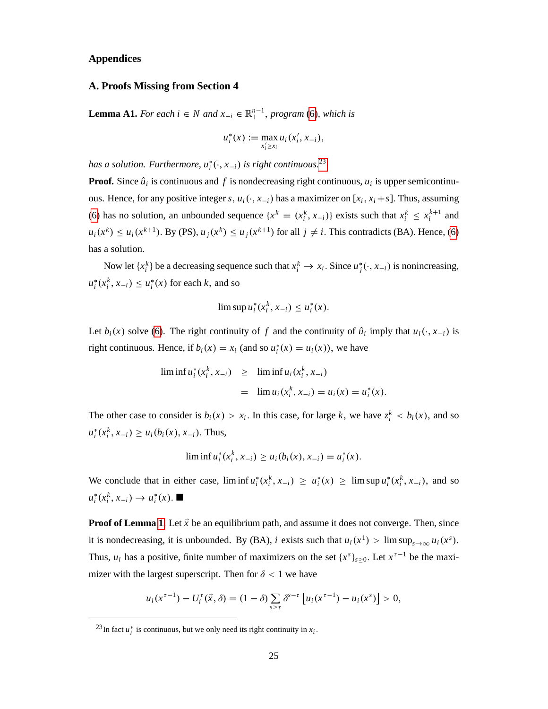# **Appendices**

# **A. Proofs Missing from Section 4**

**Lemma A1.** *For each*  $i \in N$  *and*  $x_{-i} \in \mathbb{R}^{n-1}_+$ *, program* [\(6\)](#page-13-3)*, which is* 

$$
u_i^*(x) := \max_{x_i' \ge x_i} u_i(x_i', x_{-i}),
$$

has a solution. Furthermore,  $u_i^*(\cdot, x_{-i})$  is right continuous.<sup>[23](#page-26-0)</sup>

**Proof.** Since  $\hat{u}_i$  is continuous and  $f$  is nondecreasing right continuous,  $u_i$  is upper semicontinuous. Hence, for any positive integer *s*,  $u_i(\cdot, x_{-i})$  has a maximizer on [ $x_i$ ,  $x_i + s$ ]. Thus, assuming [\(6\)](#page-13-3) has no solution, an unbounded sequence  $\{x^k = (x_i^k, x_{-i})\}$  exists such that  $x_i^k \leq x_i^{k+1}$  and  $u_i(x^k) \le u_i(x^{k+1})$ . By (PS),  $u_j(x^k) \le u_j(x^{k+1})$  for all  $j \ne i$ . This contradicts (BA). Hence, [\(6\)](#page-13-3) has a solution.

Now let  $\{x_i^k\}$  be a decreasing sequence such that  $x_i^k \to x_i$ . Since  $u_j^*(\cdot, x_{-i})$  is nonincreasing,  $u_i^*(x_i^k, x_{-i}) \le u_i^*(x)$  for each *k*, and so

$$
\limsup u_i^*(x_i^k, x_{-i}) \leq u_i^*(x).
$$

Let  $b_i(x)$  solve [\(6\)](#page-13-3). The right continuity of *f* and the continuity of  $\hat{u}_i$  imply that  $u_i(\cdot, x_{-i})$  is right continuous. Hence, if  $b_i(x) = x_i$  (and so  $u_i^*(x) = u_i(x)$ ), we have

$$
\begin{array}{rcl}\n\liminf u_i^*(x_i^k, x_{-i}) & \geq & \liminf u_i(x_i^k, x_{-i}) \\
& = & \lim u_i(x_i^k, x_{-i}) = u_i(x) = u_i^*(x).\n\end{array}
$$

The other case to consider is  $b_i(x) > x_i$ . In this case, for large *k*, we have  $z_i^k < b_i(x)$ , and so  $u_i^*(x_i^k, x_{-i}) \ge u_i(b_i(x), x_{-i})$ . Thus,

 $\liminf u_i^*(x_i^k, x_{-i}) \ge u_i(b_i(x), x_{-i}) = u_i^*(x).$ 

We conclude that in either case,  $\liminf u_i^*(x_i^k, x_{-i}) \ge u_i^*(x) \ge \limsup u_i^*(x_i^k, x_{-i})$ , and so  $u_i^*(x_i^k, x_{-i}) \to u_i^*(x)$ .

**Proof of Lemma [1.](#page-14-1)** Let  $\vec{x}$  be an equilibrium path, and assume it does not converge. Then, since it is nondecreasing, it is unbounded. By (BA), *i* exists such that  $u_i(x^1) > \limsup_{s \to \infty} u_i(x^s)$ . Thus,  $u_i$  has a positive, finite number of maximizers on the set  $\{x^s\}_{s\geq 0}$ . Let  $x^{\tau-1}$  be the maximizer with the largest superscript. Then for  $\delta$  < 1 we have

$$
u_i(x^{\tau-1}) - U_i^{\tau}(\vec{x}, \delta) = (1 - \delta) \sum_{s \geq \tau} \delta^{s-\tau} [u_i(x^{\tau-1}) - u_i(x^s)] > 0,
$$

<span id="page-26-0"></span><sup>&</sup>lt;sup>23</sup>In fact  $u_i^*$  is continuous, but we only need its right continuity in  $x_i$ .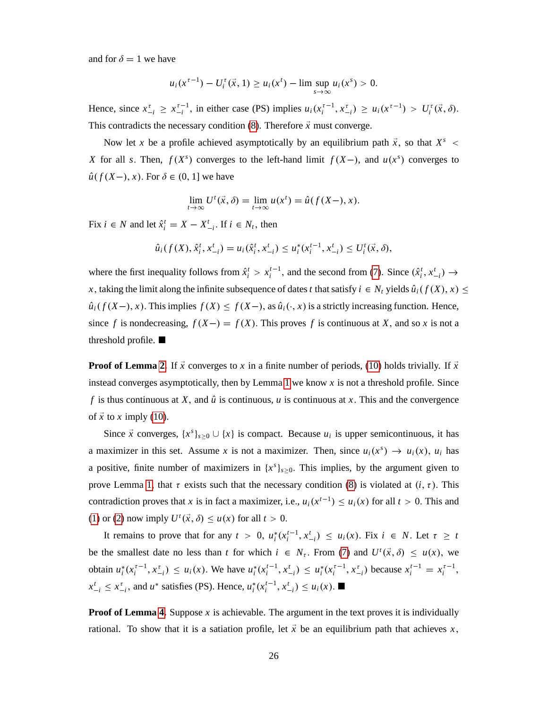and for  $\delta = 1$  we have

$$
u_i(x^{i-1}) - U_i^{\tau}(\vec{x}, 1) \ge u_i(x^t) - \limsup_{s \to \infty} u_i(x^s) > 0.
$$

Hence, since  $x_{-i}^{\tau} \ge x_{-i}^{\tau-1}$ , in either case (PS) implies  $u_i(x_i^{\tau-1}, x_{-i}^{\tau}) \ge u_i(x^{\tau-1}) > U_i^{\tau}(\vec{x}, \delta)$ . This contradicts the necessary condition  $(8)$ . Therefore  $\vec{x}$  must converge.

Now let *x* be a profile achieved asymptotically by an equilibrium path  $\vec{x}$ , so that  $X^s$  < *X* for all *s*. Then,  $f(X^s)$  converges to the left-hand limit  $f(X-)$ , and  $u(x^s)$  converges to  $\hat{u}(f(X-), x)$ . For  $\delta \in (0, 1]$  we have

$$
\lim_{t \to \infty} U^t(\vec{x}, \delta) = \lim_{t \to \infty} u(x^t) = \hat{u}(f(X-), x).
$$

Fix  $i \in N$  and let  $\hat{x}_i^t = X - X_{-i}^t$ . If  $i \in N_t$ , then

$$
\hat{u}_i(f(X), \hat{x}_i^t, x_{-i}^t) = u_i(\hat{x}_i^t, x_{-i}^t) \le u_i^*(x_i^{t-1}, x_{-i}^t) \le U_i^t(\vec{x}, \delta),
$$

where the first inequality follows from  $\hat{x}_i^t > x_i^{t-1}$ , and the second from [\(7\)](#page-13-2). Since  $(\hat{x}_i^t, x_{-i}^t) \rightarrow$ *x*, taking the limit along the infinite subsequence of dates *t* that satisfy  $i \in N_t$  yields  $\hat{u}_i(f(X), x) \leq$  $\hat{u}_i(f(X-), x)$ . This implies  $f(X) \le f(X-),$  as  $\hat{u}_i(\cdot, x)$  is a strictly increasing function. Hence, since *f* is nondecreasing,  $f(X-) = f(X)$ . This proves *f* is continuous at *X*, and so *x* is not a threshold profile.

**Proof of Lemma [2.](#page-14-0)** If  $\vec{x}$  converges to *x* in a finite number of periods, [\(10\)](#page-14-6) holds trivially. If  $\vec{x}$ instead converges asymptotically, then by Lemma [1](#page-14-1) we know *x* is not a threshold profile. Since *f* is thus continuous at *X*, and  $\hat{u}$  is continuous, *u* is continuous at *x*. This and the convergence of  $\vec{x}$  to *x* imply [\(10\)](#page-14-6).

Since  $\vec{x}$  converges,  $\{x^s\}_{s\geq 0} \cup \{x\}$  is compact. Because  $u_i$  is upper semicontinuous, it has a maximizer in this set. Assume *x* is not a maximizer. Then, since  $u_i(x^s) \to u_i(x)$ ,  $u_i$  has a positive, finite number of maximizers in  $\{x^s\}_{s\geq 0}$ . This implies, by the argument given to prove Lemma [1,](#page-14-1) that  $\tau$  exists such that the necessary condition [\(8\)](#page-13-1) is violated at  $(i, \tau)$ . This contradiction proves that *x* is in fact a maximizer, i.e.,  $u_i(x^{t-1}) \le u_i(x)$  for all  $t > 0$ . This and [\(1\)](#page-6-2) or [\(2\)](#page-6-3) now imply  $U^t(\vec{x}, \delta) \le u(x)$  for all  $t > 0$ .

It remains to prove that for any  $t > 0$ ,  $u_i^*(x_i^{t-1}, x_{-i}^t) \le u_i(x)$ . Fix  $i \in N$ . Let  $\tau \ge t$ be the smallest date no less than *t* for which  $i \in N_{\tau}$ . From [\(7\)](#page-13-2) and  $U^t(\vec{x}, \delta) \le u(x)$ , we obtain  $u_i^*(x_i^{\tau-1}, x_{-i}^{\tau}) \le u_i(x)$ . We have  $u_i^*(x_i^{t-1}, x_{-i}^{\tau}) \le u_i^*(x_i^{\tau-1}, x_{-i}^{\tau})$  because  $x_i^{t-1} = x_i^{\tau-1}$ ,  $x_{-i}^t \le x_{-i}^t$ , and *u*<sup>\*</sup> satisfies (PS). Hence,  $u_i^*(x_i^{t-1}, x_{-i}^t) \le u_i(x)$ .

**Proof of Lemma [4.](#page-15-2)** Suppose x is achievable. The argument in the text proves it is individually rational. To show that it is a satiation profile, let  $\vec{x}$  be an equilibrium path that achieves *x*,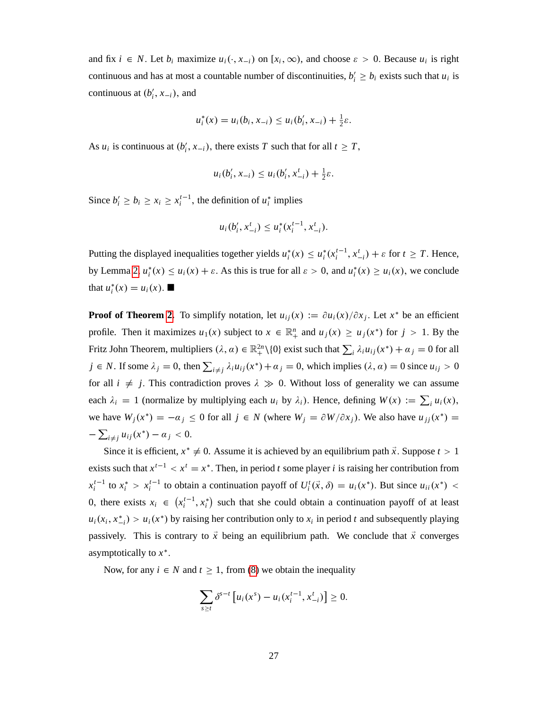and fix  $i \in N$ . Let  $b_i$  maximize  $u_i(\cdot, x_{-i})$  on  $[x_i, \infty)$ , and choose  $\varepsilon > 0$ . Because  $u_i$  is right continuous and has at most a countable number of discontinuities,  $b'_i \geq b_i$  exists such that  $u_i$  is continuous at  $(b'_i, x_{-i})$ , and

$$
u_i^*(x) = u_i(b_i, x_{-i}) \le u_i(b'_i, x_{-i}) + \frac{1}{2}\varepsilon.
$$

As *u<sub>i</sub>* is continuous at  $(b'_i, x_{-i})$ , there exists *T* such that for all  $t \geq T$ ,

$$
u_i(b'_i, x_{-i}) \leq u_i(b'_i, x_{-i}^t) + \frac{1}{2}\varepsilon.
$$

Since  $b'_i \ge b_i \ge x_i \ge x_i^{t-1}$ , the definition of  $u_i^*$  implies

$$
u_i(b'_i, x_{-i}^t) \le u_i^*(x_i^{t-1}, x_{-i}^t).
$$

Putting the displayed inequalities together yields  $u_i^*(x) \le u_i^*(x_i^{t-1}, x_{-i}^t) + \varepsilon$  for  $t \ge T$ . Hence, by Lemma [2,](#page-14-0)  $u_i^*(x) \le u_i(x) + \varepsilon$ . As this is true for all  $\varepsilon > 0$ , and  $u_i^*(x) \ge u_i(x)$ , we conclude that  $u_i^*(x) = u_i(x)$ .

**Proof of Theorem [2.](#page-16-0)** To simplify notation, let  $u_{ij}(x) := \partial u_i(x)/\partial x_j$ . Let  $x^*$  be an efficient profile. Then it maximizes  $u_1(x)$  subject to  $x \in \mathbb{R}^n_+$  and  $u_j(x) \ge u_j(x^*)$  for  $j > 1$ . By the Fritz John Theorem, multipliers  $(\lambda, \alpha) \in \mathbb{R}_+^{2n} \setminus \{0\}$  exist such that  $\sum_i \lambda_i u_{ij}(x^*) + \alpha_j = 0$  for all  $j \in N$ . If some  $\lambda_j = 0$ , then  $\sum_{i \neq j} \lambda_i u_{ij}(x^*) + \alpha_j = 0$ , which implies  $(\lambda, \alpha) = 0$  since  $u_{ij} > 0$ for all  $i \neq j$ . This contradiction proves  $\lambda \gg 0$ . Without loss of generality we can assume each  $\lambda_i = 1$  (normalize by multiplying each  $u_i$  by  $\lambda_i$ ). Hence, defining  $W(x) := \sum_i u_i(x)$ , we have  $W_j(x^*) = -\alpha_j \le 0$  for all  $j \in N$  (where  $W_j = \partial W / \partial x_j$ ). We also have  $u_{jj}(x^*) =$  $-\sum_{i \neq j} u_{ij}(x^*) - a_j < 0.$ 

Since it is efficient,  $x^* \neq 0$ . Assume it is achieved by an equilibrium path  $\vec{x}$ . Suppose  $t > 1$ exists such that  $x^{t-1} < x^t = x^*$ . Then, in period *t* some player *i* is raising her contribution from  $x_i^{t-1}$  to  $x_i^* > x_i^{t-1}$  to obtain a continuation payoff of  $U_i^t(\vec{x}, \delta) = u_i(x^*)$ . But since  $u_{ii}(x^*)$  < 0, there exists  $x_i \in (x_i^{t-1}, x_i^*)$  such that she could obtain a continuation payoff of at least  $u_i(x_i, x_{-i}^*) > u_i(x^*)$  by raising her contribution only to  $x_i$  in period *t* and subsequently playing passively. This is contrary to  $\vec{x}$  being an equilibrium path. We conclude that  $\vec{x}$  converges asymptotically to *x* :

Now, for any  $i \in N$  and  $t \ge 1$ , from [\(8\)](#page-13-1) we obtain the inequality

$$
\sum_{s \geq t} \delta^{s-t} \left[ u_i(x^s) - u_i(x_i^{t-1}, x_{-i}^t) \right] \geq 0.
$$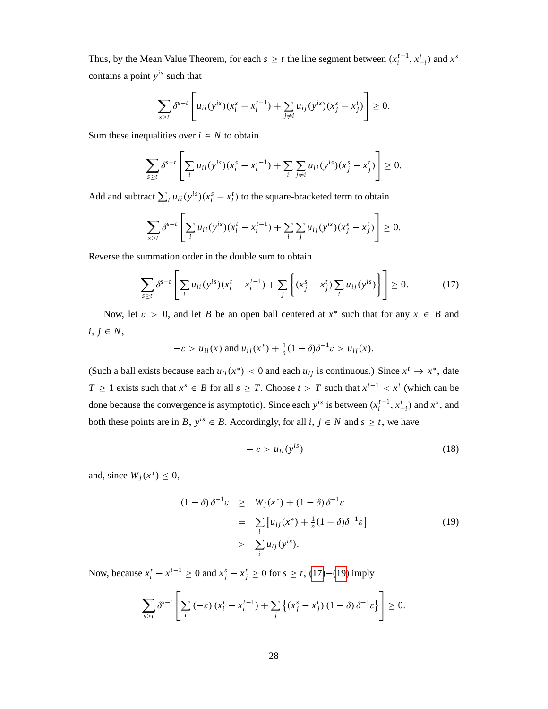Thus, by the Mean Value Theorem, for each  $s \geq t$  the line segment between  $(x_i^{t-1}, x_{-i}^t)$  and  $x^s$ contains a point *y is* such that

$$
\sum_{s\geq t} \delta^{s-t} \left[ u_{ii}(y^{is})(x_i^s - x_i^{t-1}) + \sum_{j\neq i} u_{ij}(y^{is})(x_j^s - x_j^t) \right] \geq 0.
$$

Sum these inequalities over  $i \in N$  to obtain

$$
\sum_{s\geq t} \delta^{s-t} \left[ \sum_i u_{ii} (y^{is})(x_i^s - x_i^{t-1}) + \sum_i \sum_{j\neq i} u_{ij} (y^{is})(x_j^s - x_j^t) \right] \geq 0.
$$

Add and subtract  $\sum_i u_{ii}(y^{is})(x_i^s - x_i^t)$  to the square-bracketed term to obtain

$$
\sum_{s\geq t} \delta^{s-t}\left[\sum_i u_{ii}(y^{is})(x_i^t-x_i^{t-1})+\sum_i\sum_j u_{ij}(y^{is})(x_j^s-x_j^t)\right]\geq 0.
$$

Reverse the summation order in the double sum to obtain

<span id="page-29-0"></span>
$$
\sum_{s \ge t} \delta^{s-t} \left[ \sum_i u_{ii} (y^{is}) (x_i^t - x_i^{t-1}) + \sum_j \left\{ (x_j^s - x_j^t) \sum_i u_{ij} (y^{is}) \right\} \right] \ge 0.
$$
 (17)

Now, let  $\varepsilon > 0$ , and let *B* be an open ball centered at  $x^*$  such that for any  $x \in B$  and  $i, j \in N$ ,

$$
-\varepsilon > u_{ii}(x) \text{ and } u_{ij}(x^*) + \frac{1}{n}(1-\delta)\delta^{-1}\varepsilon > u_{ij}(x).
$$

(Such a ball exists because each  $u_{ii}(x^*) < 0$  and each  $u_{ij}$  is continuous.) Since  $x^t \to x^*$ , date *T*  $\geq$  1 exists such that  $x^s \in B$  for all  $s \geq T$ . Choose  $t > T$  such that  $x^{t-1} < x^t$  (which can be done because the convergence is asymptotic). Since each  $y^{is}$  is between  $(x_i^{t-1}, x_{-i}^t)$  and  $x^s$ , and both these points are in *B*,  $y^{is} \in B$ . Accordingly, for all *i*,  $j \in N$  and  $s \ge t$ , we have

$$
-\varepsilon > u_{ii}(y^{is}) \tag{18}
$$

and, since  $W_j(x^*) \leq 0$ ,

<span id="page-29-1"></span>
$$
(1 - \delta) \delta^{-1} \varepsilon \geq W_j(x^*) + (1 - \delta) \delta^{-1} \varepsilon
$$
  
= 
$$
\sum_i [u_{ij}(x^*) + \frac{1}{n}(1 - \delta) \delta^{-1} \varepsilon]
$$
  
> 
$$
\sum_i u_{ij}(y^{is}).
$$
 (19)

Now, because  $x_i^t - x_i^{t-1} \ge 0$  and  $x_j^s - x_j^t \ge 0$  for  $s \ge t$ , [\(17\)](#page-29-0)–[\(19\)](#page-29-1) imply

$$
\sum_{s\geq t} \delta^{s-t} \left[ \sum_i \left( -\varepsilon \right) \left( x_i^t - x_i^{t-1} \right) + \sum_j \left\{ \left( x_j^s - x_j^t \right) \left( 1 - \delta \right) \delta^{-1} \varepsilon \right\} \right] \geq 0.
$$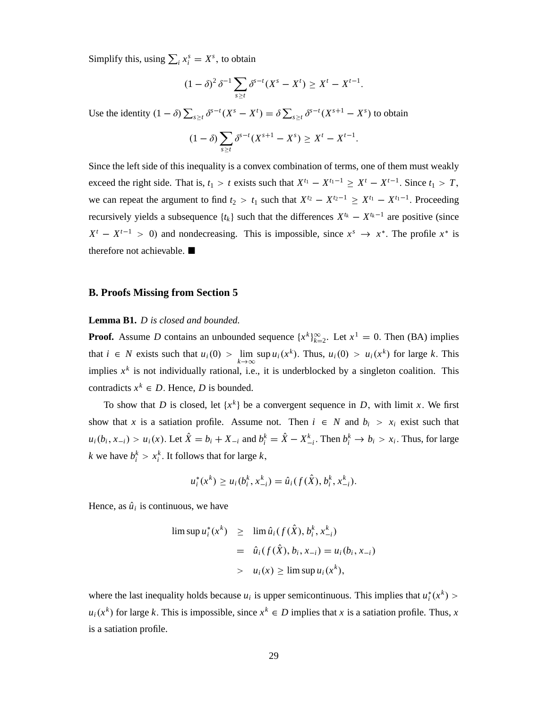Simplify this, using  $\sum_i x_i^s = X^s$ , to obtain

$$
(1 - \delta)^2 \delta^{-1} \sum_{s \ge t} \delta^{s-t} (X^s - X^t) \ge X^t - X^{t-1}.
$$

Use the identity  $(1 - \delta) \sum_{s \ge t} \delta^{s-t}(X^s - X^t) = \delta \sum_{s \ge t} \delta^{s-t}(X^{s+1} - X^s)$  to obtain

$$
(1 - \delta) \sum_{s \ge t} \delta^{s-t} (X^{s+1} - X^s) \ge X^t - X^{t-1}.
$$

Since the left side of this inequality is a convex combination of terms, one of them must weakly exceed the right side. That is,  $t_1 > t$  exists such that  $X^{t_1} - X^{t_1-1} \ge X^t - X^{t-1}$ . Since  $t_1 > T$ , we can repeat the argument to find  $t_2 > t_1$  such that  $X^{t_2} - X^{t_2-1} \ge X^{t_1} - X^{t_1-1}$ . Proceeding recursively yields a subsequence  $\{t_k\}$  such that the differences  $X^{t_k} - X^{t_k-1}$  are positive (since  $X^t - X^{t-1} > 0$  and nondecreasing. This is impossible, since  $x^s \to x^*$ . The profile  $x^*$  is therefore not achievable. ■

#### **B. Proofs Missing from Section 5**

#### **Lemma B1.** *D is closed and bounded.*

**Proof.** Assume *D* contains an unbounded sequence  $\{x^k\}_{k=2}^{\infty}$ . Let  $x^1 = 0$ . Then (BA) implies that  $i \in N$  exists such that  $u_i(0) > \lim_{k \to \infty}$  $\sup u_i(x^k)$ . Thus,  $u_i(0) > u_i(x^k)$  for large *k*. This implies  $x<sup>k</sup>$  is not individually rational, i.e., it is underblocked by a singleton coalition. This contradicts  $x^k \in D$ . Hence, *D* is bounded.

To show that *D* is closed, let  $\{x^k\}$  be a convergent sequence in *D*, with limit *x*. We first show that *x* is a satiation profile. Assume not. Then  $i \in N$  and  $b_i > x_i$  exist such that  $u_i(b_i, x_{-i}) > u_i(x)$ . Let  $\hat{X} = b_i + X_{-i}$  and  $b_i^k = \hat{X} - X_{-i}^k$ . Then  $b_i^k \to b_i > x_i$ . Thus, for large  $k$  we have  $b_i^k > x_i^k$ . It follows that for large  $k$ ,

$$
u_i^*(x^k) \ge u_i(b_i^k, x_{-i}^k) = \hat{u}_i(f(\hat{X}), b_i^k, x_{-i}^k).
$$

Hence, as  $\hat{u}_i$  is continuous, we have

$$
\begin{array}{rcl}\n\limsup u_i^*(x^k) & \geq & \lim \hat{u}_i(f(\hat{X}), b_i^k, x_{-i}^k) \\
& = & \hat{u}_i(f(\hat{X}), b_i, x_{-i}) = u_i(b_i, x_{-i}) \\
& > & u_i(x) \geq \limsup u_i(x^k),\n\end{array}
$$

where the last inequality holds because  $u_i$  is upper semicontinuous. This implies that  $u_i^*(x^k)$  $u_i(x^k)$  for large *k*. This is impossible, since  $x^k \in D$  implies that *x* is a satiation profile. Thus, *x* is a satiation profile.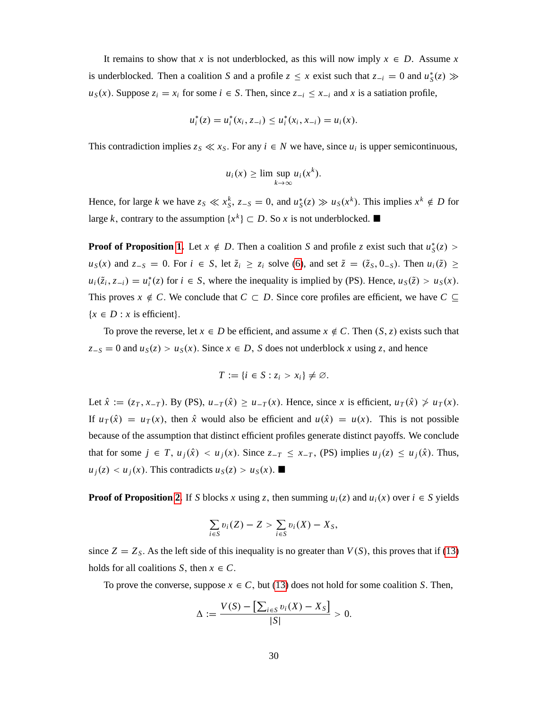It remains to show that *x* is not underblocked, as this will now imply  $x \in D$ . Assume *x* is underblocked. Then a coalition *S* and a profile  $z \leq x$  exist such that  $z_{-i} = 0$  and  $u_s^*(z) \gg$  $u_S(x)$ . Suppose  $z_i = x_i$  for some  $i \in S$ . Then, since  $z_{-i} \le x_{-i}$  and x is a satiation profile,

$$
u_i^*(z) = u_i^*(x_i, z_{-i}) \le u_i^*(x_i, x_{-i}) = u_i(x).
$$

This contradiction implies  $z_s \ll x_s$ . For any  $i \in N$  we have, since  $u_i$  is upper semicontinuous,

$$
u_i(x) \geq \limsup_{k \to \infty} u_i(x^k).
$$

Hence, for large *k* we have  $z_s \ll x_s^k$ ,  $z_{-s} = 0$ , and  $u_s^*(z) \gg u_s(x^k)$ . This implies  $x^k \notin D$  for large *k*, contrary to the assumption  $\{x^k\} \subset D$ . So *x* is not underblocked.

**Proof of Proposition [1.](#page-17-0)** Let  $x \notin D$ . Then a coalition *S* and profile *z* exist such that  $u_S^*(z)$  >  $u_S(x)$  and  $z_{-S} = 0$ . For  $i \in S$ , let  $\tilde{z}_i \ge z_i$  solve [\(6\)](#page-13-3), and set  $\tilde{z} = (\tilde{z}_S, 0_{-S})$ . Then  $u_i(\tilde{z}) \ge z_i$  $u_i(\tilde{z}_i, z_{-i}) = u_i^*(z)$  for  $i \in S$ , where the inequality is implied by (PS). Hence,  $u_s(\tilde{z}) > u_s(x)$ . This proves  $x \notin C$ . We conclude that  $C \subset D$ . Since core profiles are efficient, we have  $C \subseteq$  ${x \in D : x \text{ is efficient}}.$ 

To prove the reverse, let  $x \in D$  be efficient, and assume  $x \notin C$ . Then  $(S, z)$  exists such that  $z_{-S} = 0$  and  $u_S(z) > u_S(x)$ . Since  $x \in D$ , *S* does not underblock *x* using *z*, and hence

$$
T:=\{i\in S:z_i>x_i\}\neq\varnothing.
$$

Let  $\hat{x} := (z_T, x_{-T})$ . By (PS),  $u_{-T}(\hat{x}) \ge u_{-T}(x)$ . Hence, since *x* is efficient,  $u_T(\hat{x}) \nsucc u_T(x)$ . If  $u_T(\hat{x}) = u_T(x)$ , then  $\hat{x}$  would also be efficient and  $u(\hat{x}) = u(x)$ . This is not possible because of the assumption that distinct efficient profiles generate distinct payoffs. We conclude that for some  $j \in T$ ,  $u_j(\hat{x}) < u_j(x)$ . Since  $z_{-T} \le x_{-T}$ , (PS) implies  $u_j(z) \le u_j(\hat{x})$ . Thus,  $u_i(z) < u_j(x)$ . This contradicts  $u_s(z) > u_s(x)$ .

**Proof of Proposition [2.](#page-17-3)** If *S* blocks *x* using *z*, then summing  $u_i(z)$  and  $u_i(x)$  over  $i \in S$  yields

$$
\sum_{i\in S}v_i(Z)-Z>\sum_{i\in S}v_i(X)-X_S,
$$

since  $Z = Z_s$ . As the left side of this inequality is no greater than  $V(S)$ , this proves that if [\(13\)](#page-17-2) holds for all coalitions *S*, then  $x \in C$ .

To prove the converse, suppose  $x \in C$ , but [\(13\)](#page-17-2) does not hold for some coalition *S*. Then,

$$
\Delta := \frac{V(S) - \left[\sum_{i \in S} v_i(X) - X_S\right]}{|S|} > 0.
$$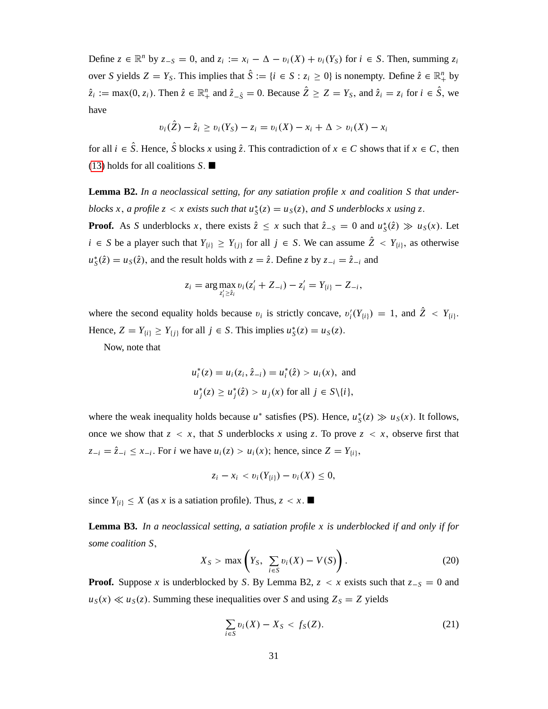Define  $z \in \mathbb{R}^n$  by  $z_{-S} = 0$ , and  $z_i := x_i - \Delta - v_i(X) + v_i(Y_s)$  for  $i \in S$ . Then, summing  $z_i$ over *S* yields  $Z = Y_S$ . This implies that  $\hat{S} := \{i \in S : z_i \ge 0\}$  is nonempty. Define  $\hat{z} \in \mathbb{R}^n_+$  by  $\hat{z}_i := \max(0, z_i)$ . Then  $\hat{z} \in \mathbb{R}_+^n$  and  $\hat{z}_{-\hat{S}} = 0$ . Because  $\hat{Z} \ge Z = Y_S$ , and  $\hat{z}_i = z_i$  for  $i \in \hat{S}$ , we have

$$
v_i(\hat{Z}) - \hat{z}_i \ge v_i(Y_S) - z_i = v_i(X) - x_i + \Delta > v_i(X) - x_i
$$

for all  $i \in \hat{S}$ . Hence,  $\hat{S}$  blocks *x* using  $\hat{z}$ . This contradiction of  $x \in C$  shows that if  $x \in C$ , then [\(13\)](#page-17-2) holds for all coalitions *S*:

**Lemma B2.** *In a neoclassical setting, for any satiation profile x and coalition S that underblocks x*, *a profile z* < *x* exists such that  $u_S^*(z) = u_S(z)$ , and *S* underblocks *x* using *z*.

**Proof.** As *S* underblocks *x*, there exists  $\hat{z} \le x$  such that  $\hat{z}_{-S} = 0$  and  $u_S^*(\hat{z}) \gg u_S(x)$ . Let  $i \in S$  be a player such that  $Y_{\{i\}} \geq Y_{\{j\}}$  for all  $j \in S$ . We can assume  $\hat{Z} < Y_{\{i\}}$ , as otherwise  $u_S^*(\hat{z}) = u_S(\hat{z})$ , and the result holds with  $z = \hat{z}$ . Define *z* by  $z_{-i} = \hat{z}_{-i}$  and

$$
z_i = \arg \max_{z'_i \geq \hat{z}_i} v_i (z'_i + Z_{-i}) - z'_i = Y_{\{i\}} - Z_{-i},
$$

where the second equality holds because  $v_i$  is strictly concave,  $v_i'(Y_{\{i\}}) = 1$ , and  $\bar{Z} < Y_{\{i\}}$ . Hence,  $Z = Y_{\{i\}} \ge Y_{\{j\}}$  for all  $j \in S$ . This implies  $u_S^*(z) = u_S(z)$ .

Now, note that

$$
u_i^*(z) = u_i(z_i, \hat{z}_{-i}) = u_i^*(\hat{z}) > u_i(x), \text{ and}
$$
  

$$
u_j^*(z) \ge u_j^*(\hat{z}) > u_j(x) \text{ for all } j \in S \setminus \{i\},
$$

where the weak inequality holds because  $u^*$  satisfies (PS). Hence,  $u^*_S(z) \gg u_S(x)$ . It follows, once we show that  $z < x$ , that *S* underblocks *x* using *z*. To prove  $z < x$ , observe first that  $z_{-i} = \hat{z}_{-i} \le x_{-i}$ . For *i* we have  $u_i(z) > u_i(x)$ ; hence, since  $Z = Y_{(i)}$ ,

$$
z_i - x_i < v_i(Y_{\{i\}}) - v_i(X) \leq 0,
$$

since  $Y_{\{i\}} \leq X$  (as *x* is a satiation profile). Thus,  $z < x$ .

**Lemma B3.** *In a neoclassical setting, a satiation profile x is underblocked if and only if for some coalition S*;

<span id="page-32-1"></span>
$$
X_S > \max\left(Y_S, \sum_{i \in S} v_i(X) - V(S)\right). \tag{20}
$$

**Proof.** Suppose *x* is underblocked by *S*. By Lemma B2,  $z < x$  exists such that  $z-s = 0$  and  $u_S(x) \ll u_S(z)$ . Summing these inequalities over *S* and using  $Z_S = Z$  yields

<span id="page-32-0"></span>
$$
\sum_{i \in S} v_i(X) - X_S < f_S(Z). \tag{21}
$$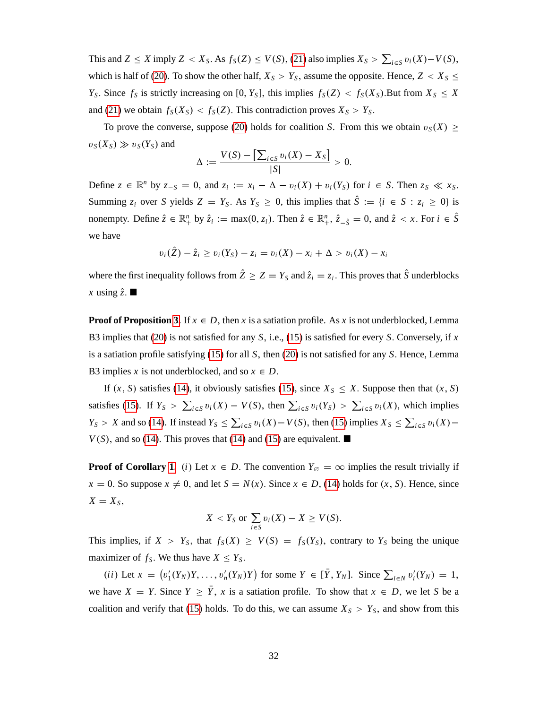This and  $Z \leq X$  imply  $Z < X_S$ . As  $f_S(Z) \leq V(S)$ , [\(21\)](#page-32-0) also implies  $X_S > \sum_{i \in S} v_i(X) - V(S)$ , which is half of [\(20\)](#page-32-1). To show the other half,  $X_S > Y_S$ , assume the opposite. Hence,  $Z < X_S \le$ *Y*<sub>S</sub>. Since *f*<sub>S</sub> is strictly increasing on [0, *Y*<sub>*S*</sub>], this implies  $f_S(Z) < f_S(X_S)$ . But from  $X_S \leq X$ and [\(21\)](#page-32-0) we obtain  $f_S(X_S) < f_S(Z)$ . This contradiction proves  $X_S > Y_S$ .

To prove the converse, suppose [\(20\)](#page-32-1) holds for coalition *S*. From this we obtain  $v_S(X) \geq$  $v_S(X_S) \gg v_S(Y_S)$  and

$$
\Delta := \frac{V(S) - \left[\sum_{i \in S} v_i(X) - X_S\right]}{|S|} > 0.
$$

Define  $z \in \mathbb{R}^n$  by  $z_{-S} = 0$ , and  $z_i := x_i - \Delta - v_i(X) + v_i(Y_s)$  for  $i \in S$ . Then  $z_S \ll x_S$ . Summing  $z_i$  over *S* yields  $Z = Y_S$ . As  $Y_S \ge 0$ , this implies that  $\hat{S} := \{i \in S : z_i \ge 0\}$  is nonempty. Define  $\hat{z} \in \mathbb{R}_+^n$  by  $\hat{z}_i := \max(0, z_i)$ . Then  $\hat{z} \in \mathbb{R}_+^n$ ,  $\hat{z}_{-\hat{S}} = 0$ , and  $\hat{z} < x$ . For  $i \in \hat{S}$ we have

$$
v_i(\hat{Z}) - \hat{z}_i \ge v_i(Y_S) - z_i = v_i(X) - x_i + \Delta > v_i(X) - x_i
$$

where the first inequality follows from  $\hat{Z} \geq Z = Y_S$  and  $\hat{z}_i = z_i$ . This proves that  $\hat{S}$  underblocks *x* using  $\hat{z}$ .

**Proof of Proposition [3.](#page-18-2)** If  $x \in D$ , then *x* is a satiation profile. As *x* is not underblocked, Lemma B3 implies that [\(20\)](#page-32-1) is not satisfied for any *S*; i.e., [\(15\)](#page-18-0) is satisfied for every *S*: Conversely, if *x* is a satiation profile satisfying [\(15\)](#page-18-0) for all *S*; then [\(20\)](#page-32-1) is not satisfied for any *S*: Hence, Lemma B3 implies *x* is not underblocked, and so  $x \in D$ .

If  $(x, S)$  satisfies [\(14\)](#page-18-1), it obviously satisfies [\(15\)](#page-18-0), since  $X_S \leq X$ . Suppose then that  $(x, S)$ satisfies [\(15\)](#page-18-0). If  $Y_s > \sum_{i \in S} v_i(X) - V(S)$ , then  $\sum_{i \in S} v_i(Y_s) > \sum_{i \in S} v_i(X)$ , which implies  $Y_S > X$  and so [\(14\)](#page-18-1). If instead  $Y_S \le \sum_{i \in S} v_i(X) - V(S)$ , then [\(15\)](#page-18-0) implies  $X_S \le \sum_{i \in S} v_i(X) - V(S)$  $V(S)$ , and so [\(14\)](#page-18-1). This proves that (14) and [\(15\)](#page-18-0) are equivalent.

**Proof of Corollary [1.](#page-18-3)** *(i)* Let  $x \in D$ . The convention  $Y_{\emptyset} = \infty$  implies the result trivially if  $x = 0$ . So suppose  $x \neq 0$ , and let  $S = N(x)$ . Since  $x \in D$ , [\(14\)](#page-18-1) holds for  $(x, S)$ . Hence, since  $X = X_S$ 

$$
X < Y_S \text{ or } \sum_{i \in S} v_i(X) - X \ge V(S).
$$

This implies, if  $X > Y_S$ , that  $f_S(X) \geq V(S) = f_S(Y_S)$ , contrary to  $Y_S$  being the unique maximizer of  $f_S$ . We thus have  $X \leq Y_S$ .

(*ii*) Let  $x = (v'_1(Y_N)Y, \ldots, v'_n(Y_N)Y)$  for some  $Y \in [\overline{Y}, Y_N]$ . Since  $\sum_{i \in N} v'_i(Y_N) = 1$ , we have  $X = Y$ . Since  $Y \ge \overline{Y}$ , *x* is a satiation profile. To show that  $x \in D$ , we let *S* be a coalition and verify that [\(15\)](#page-18-0) holds. To do this, we can assume  $X<sub>S</sub> > Y<sub>S</sub>$ , and show from this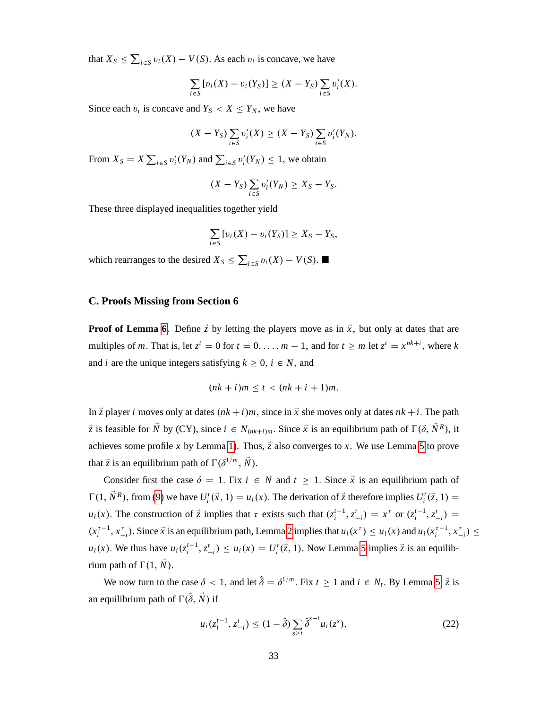that  $X_S \le \sum_{i \in S} v_i(X) - V(S)$ . As each  $v_i$  is concave, we have

$$
\sum_{i\in S} [v_i(X)-v_i(Y_S)] \geq (X-Y_S) \sum_{i\in S} v'_i(X).
$$

Since each  $v_i$  is concave and  $Y_s < X \leq Y_N$ , we have

$$
(X-Y_S)\sum_{i\in S}v_i'(X)\geq (X-Y_S)\sum_{i\in S}v_i'(Y_N).
$$

From  $X_s = X \sum_{i \in S} v'_i(Y_N)$  and  $\sum_{i \in S} v'_i(Y_N) \leq 1$ , we obtain

$$
(X-Y_S)\sum_{i\in S}v'_i(Y_N)\geq X_S-Y_S.
$$

These three displayed inequalities together yield

$$
\sum_{i\in S} [v_i(X)-v_i(Y_S)] \geq X_S-Y_S,
$$

which rearranges to the desired  $X_S \le \sum_{i \in S} v_i(X) - V(S)$ .

# **C. Proofs Missing from Section 6**

**Proof of Lemma [6.](#page-21-0)** Define  $\vec{z}$  by letting the players move as in  $\vec{x}$ , but only at dates that are multiples of *m*. That is, let  $z^t = 0$  for  $t = 0, ..., m - 1$ , and for  $t \ge m$  let  $z^t = x^{nk+i}$ , where *k* and *i* are the unique integers satisfying  $k \geq 0$ ,  $i \in N$ , and

$$
(nk+i)m \leq t < (nk+i+1)m.
$$

In  $\vec{z}$  player *i* moves only at dates  $(nk + i)m$ , since in  $\vec{x}$  she moves only at dates  $nk + i$ . The path  $\vec{z}$  is feasible for  $\vec{N}$  by (CY), since  $i \in N_{(nk+i)m}$ . Since  $\vec{x}$  is an equilibrium path of  $\Gamma(\delta, \vec{N}^R)$ , it achieves some profile *x* by Lemma [1\)](#page-14-1). Thus,  $\vec{z}$  also converges to *x*. We use Lemma [5](#page-20-0) to prove that  $\vec{z}$  is an equilibrium path of  $\Gamma(\delta^{1/m}, \vec{N})$ .

Consider first the case  $\delta = 1$ . Fix  $i \in N$  and  $t \ge 1$ . Since  $\vec{x}$  is an equilibrium path of  $\Gamma(1, \vec{N}^R)$ , from [\(9\)](#page-14-2) we have  $U_i^t(\vec{x}, 1) = u_i(x)$ . The derivation of  $\vec{z}$  therefore implies  $U_i^t(\vec{z}, 1) =$  $u_i(x)$ . The construction of  $\vec{z}$  implies that  $\tau$  exists such that  $(z_i^{t-1}, z_{-i}^t) = x^{\tau}$  or  $(z_i^{t-1}, z_{-i}^t) =$  $(x_i^{\tau-1}, x_{-i}^{\tau})$ . Since  $\vec{x}$  is an equilibrium path, Lemma [2](#page-14-0) implies that  $u_i(x^{\tau}) \le u_i(x)$  and  $u_i(x_i^{\tau-1}, x_{-i}^{\tau}) \le$  $u_i(x)$ . We thus have  $u_i(z_i^{t-1}, z_{-i}^t) \le u_i(x) = U_i^t(\vec{z}, 1)$ . Now Lemma [5](#page-20-0) implies  $\vec{z}$  is an equilibrium path of  $\Gamma(1, N)$ .

We now turn to the case  $\delta < 1$ , and let  $\hat{\delta} = \delta^{1/m}$ . Fix  $t \ge 1$  and  $i \in N_t$ . By Lemma [5,](#page-20-0)  $\vec{z}$  is an equilibrium path of  $\Gamma(\hat{\delta},\vec{N})$  if

<span id="page-34-0"></span>
$$
u_i(z_i^{t-1}, z_{-i}^t) \le (1 - \hat{\delta}) \sum_{s \ge t} \hat{\delta}^{s-t} u_i(z^s), \tag{22}
$$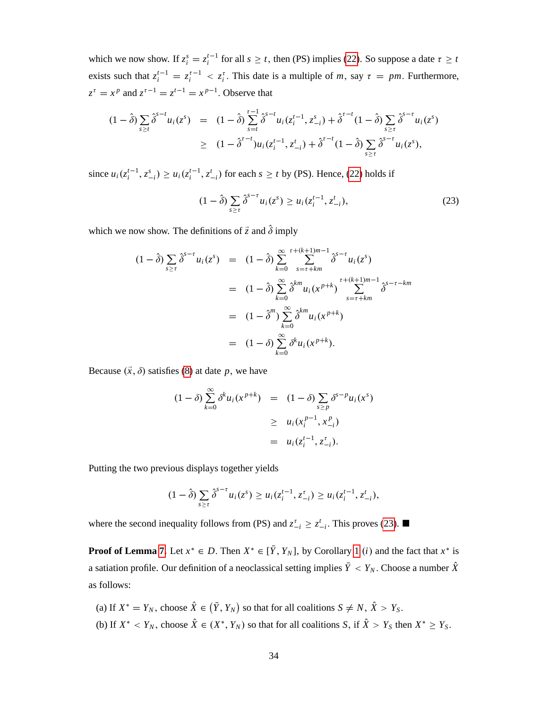which we now show. If  $z_i^s = z_i^{t-1}$  for all  $s \ge t$ , then (PS) implies [\(22\)](#page-34-0). So suppose a date  $\tau \ge t$ exists such that  $z_i^{t-1} = z_i^{t-1} < z_i^t$ . This date is a multiple of *m*, say  $\tau = pm$ . Furthermore,  $z^{\tau} = x^p$  and  $z^{\tau-1} = z^{t-1} = x^{p-1}$ . Observe that

$$
(1 - \hat{\delta}) \sum_{s \ge t} \hat{\delta}^{s-t} u_i(z^s) = (1 - \hat{\delta}) \sum_{s=t}^{\tau-1} \hat{\delta}^{s-t} u_i(z_i^{t-1}, z_{-i}^s) + \hat{\delta}^{t-t} (1 - \hat{\delta}) \sum_{s \ge t} \hat{\delta}^{s-t} u_i(z^s)
$$
  
 
$$
\ge (1 - \hat{\delta}^{t-t}) u_i(z_i^{t-1}, z_{-i}^t) + \hat{\delta}^{t-t} (1 - \hat{\delta}) \sum_{s \ge t} \hat{\delta}^{s-t} u_i(z^s),
$$

since  $u_i(z_i^{t-1}, z_{-i}^s) \ge u_i(z_i^{t-1}, z_{-i}^t)$  for each  $s \ge t$  by (PS). Hence, [\(22\)](#page-34-0) holds if

<span id="page-35-0"></span>
$$
(1 - \hat{\delta}) \sum_{s \ge \tau} \hat{\delta}^{s-\tau} u_i(z^s) \ge u_i(z_i^{t-1}, z_{-i}^t), \tag{23}
$$

which we now show. The definitions of  $\vec{z}$  and  $\hat{\delta}$  imply

$$
(1 - \hat{\delta}) \sum_{s \geq \tau} \hat{\delta}^{s-\tau} u_i(z^s) = (1 - \hat{\delta}) \sum_{k=0}^{\infty} \sum_{s=\tau+km}^{\tau+(k+1)m-1} \hat{\delta}^{s-\tau} u_i(z^s)
$$
  

$$
= (1 - \hat{\delta}) \sum_{k=0}^{\infty} \hat{\delta}^{km} u_i(x^{p+k}) \sum_{s=\tau+km}^{\tau+(k+1)m-1} \hat{\delta}^{s-\tau-km}
$$
  

$$
= (1 - \hat{\delta}^m) \sum_{k=0}^{\infty} \hat{\delta}^{km} u_i(x^{p+k})
$$
  

$$
= (1 - \delta) \sum_{k=0}^{\infty} \delta^k u_i(x^{p+k}).
$$

Because  $(\vec{x}, \delta)$  satisfies [\(8\)](#page-13-1) at date *p*, we have

$$
(1 - \delta) \sum_{k=0}^{\infty} \delta^k u_i(x^{p+k}) = (1 - \delta) \sum_{s \ge p} \delta^{s-p} u_i(x^s)
$$
  
 
$$
\ge u_i(x_i^{p-1}, x_{-i}^p)
$$
  
 
$$
= u_i(z_i^{t-1}, z_{-i}^t).
$$

Putting the two previous displays together yields

$$
(1-\hat{\delta})\sum_{s\geq \tau}\hat{\delta}^{s-\tau}u_i(z^s)\geq u_i(z_i^{t-1},z_{-i}^{\tau})\geq u_i(z_i^{t-1},z_{-i}^t),
$$

where the second inequality follows from (PS) and  $z_{-i}^{\tau} \ge z_{-i}^{\tau}$ . This proves [\(23\)](#page-35-0).

**Proof of Lemma [7.](#page-22-3)** Let  $x^* \in D$ . Then  $X^* \in [Y, Y_N]$ , by Corollary [1](#page-18-3) *(i)* and the fact that  $x^*$  is a satiation profile. Our definition of a neoclassical setting implies  $\bar{Y} < Y_N$ . Choose a number  $\hat{X}$ as follows:

(a) If  $X^* = Y_N$ , choose  $\hat{X} \in (\bar{Y}, Y_N)$  so that for all coalitions  $S \neq N$ ,  $\hat{X} > Y_S$ . (b) If  $X^* < Y_N$ , choose  $\tilde{X} \in (X^*, Y_N)$  so that for all coalitions *S*, if  $\tilde{X} > Y_S$  then  $X^* \ge Y_S$ .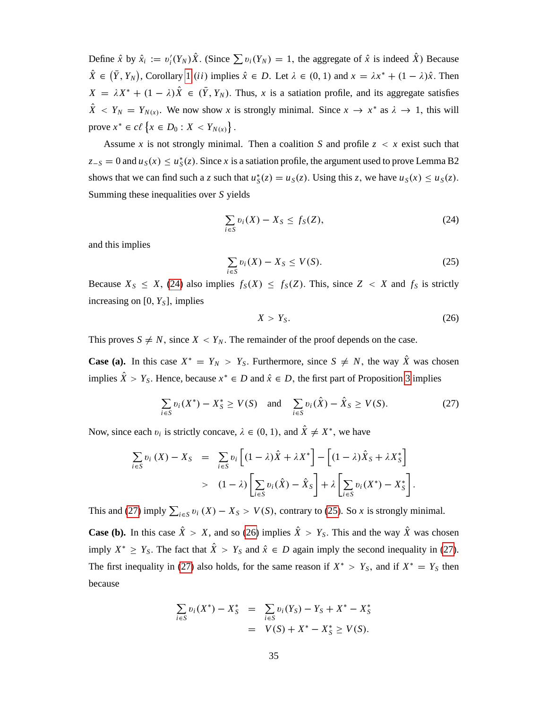Define  $\hat{x}$  by  $\hat{x}_i := v_i'(Y_N)\hat{X}$ . (Since  $\sum v_i(Y_N) = 1$ , the aggregate of  $\hat{x}$  is indeed  $\hat{X}$ ) Because  $\hat{X} \in (\bar{Y}, Y_N)$ , Corollary [1](#page-18-3) *(ii)* implies  $\hat{x} \in D$ . Let  $\lambda \in (0, 1)$  and  $x = \lambda x^* + (1 - \lambda)\hat{x}$ . Then  $X = \lambda X^* + (1 - \lambda)X \in (Y, Y_N)$ . Thus, *x* is a satiation profile, and its aggregate satisfies  $\hat{X} \leq Y_N = Y_{N(x)}$ . We now show *x* is strongly minimal. Since  $x \to x^*$  as  $\lambda \to 1$ , this will prove  $x^* \in c\ell \{x \in D_0 : X < Y_{N(x)}\}$ .

Assume x is not strongly minimal. Then a coalition S and profile  $z < x$  exist such that  $z_{-S} = 0$  and  $u_S(x) \le u_S^*(z)$ . Since *x* is a satiation profile, the argument used to prove Lemma B2 shows that we can find such a *z* such that  $u_S^*(z) = u_S(z)$ . Using this *z*, we have  $u_S(x) \le u_S(z)$ . Summing these inequalities over *S* yields

<span id="page-36-0"></span>
$$
\sum_{i \in S} v_i(X) - X_S \le f_S(Z),\tag{24}
$$

and this implies

<span id="page-36-2"></span>
$$
\sum_{i \in S} v_i(X) - X_S \le V(S). \tag{25}
$$

Because  $X_S \leq X$ , [\(24\)](#page-36-0) also implies  $f_S(X) \leq f_S(Z)$ . This, since  $Z < X$  and  $f_S$  is strictly increasing on  $[0, Y<sub>S</sub>]$ , implies

<span id="page-36-3"></span>
$$
X > Y_S. \tag{26}
$$

This proves  $S \neq N$ , since  $X < Y_N$ . The remainder of the proof depends on the case.

**Case (a).** In this case  $X^* = Y_N > Y_S$ . Furthermore, since  $S \neq N$ , the way  $\hat{X}$  was chosen implies  $\hat{X} > Y_S$ . Hence, because  $x^* \in D$  and  $\hat{x} \in D$ , the first part of Proposition [3](#page-18-2) implies

<span id="page-36-1"></span>
$$
\sum_{i \in S} v_i(X^*) - X_S^* \ge V(S) \quad \text{and} \quad \sum_{i \in S} v_i(\hat{X}) - \hat{X}_S \ge V(S). \tag{27}
$$

Now, since each  $v_i$  is strictly concave,  $\lambda \in (0, 1)$ , and  $\hat{X} \neq X^*$ , we have

$$
\sum_{i \in S} v_i(X) - X_S = \sum_{i \in S} v_i \left[ (1 - \lambda) \hat{X} + \lambda X^* \right] - \left[ (1 - \lambda) \hat{X}_S + \lambda X^*_S \right]
$$
  
> 
$$
(1 - \lambda) \left[ \sum_{i \in S} v_i(\hat{X}) - \hat{X}_S \right] + \lambda \left[ \sum_{i \in S} v_i(X^*) - X^*_S \right].
$$

This and [\(27\)](#page-36-1) imply  $\sum_{i \in S} v_i(X) - X_S > V(S)$ , contrary to [\(25\)](#page-36-2). So *x* is strongly minimal.

**Case (b).** In this case  $\hat{X} > X$ , and so [\(26\)](#page-36-3) implies  $\hat{X} > Y_s$ . This and the way  $\hat{X}$  was chosen imply  $X^* \ge Y_S$ . The fact that  $\hat{X} > Y_S$  and  $\hat{x} \in D$  again imply the second inequality in [\(27\)](#page-36-1). The first inequality in [\(27\)](#page-36-1) also holds, for the same reason if  $X^* > Y_S$ , and if  $X^* = Y_S$  then because

$$
\sum_{i \in S} v_i(X^*) - X_S^* = \sum_{i \in S} v_i(Y_S) - Y_S + X^* - X_S^*
$$
  
=  $V(S) + X^* - X_S^* \ge V(S)$ .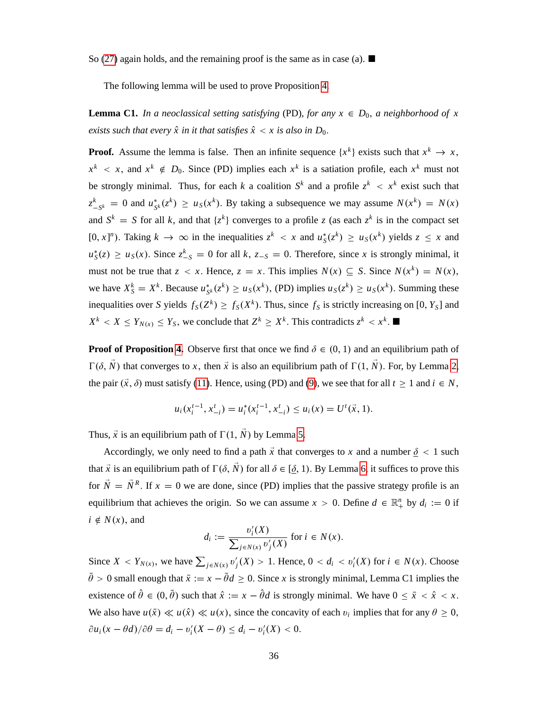So [\(27\)](#page-36-1) again holds, and the remaining proof is the same as in case (a).  $\blacksquare$ 

The following lemma will be used to prove Proposition [4.](#page-22-0)

**Lemma C1.** *In a neoclassical setting satisfying* (PD), *for any*  $x \in D_0$ , *a neighborhood of* x *exists such that every*  $\hat{x}$  *in it that satisfies*  $\hat{x} < x$  *is also in D*<sub>0</sub>.

**Proof.** Assume the lemma is false. Then an infinite sequence  $\{x^k\}$  exists such that  $x^k \to x$ ,  $x^k$  < *x*, and  $x^k \notin D_0$ . Since (PD) implies each  $x^k$  is a satiation profile, each  $x^k$  must not be strongly minimal. Thus, for each *k* a coalition  $S^k$  and a profile  $z^k < x^k$  exist such that *z k*  $S_{-S^k}$  = 0 and  $u_{S^k}^*(z^k) \ge u_S(x^k)$ . By taking a subsequence we may assume  $N(x^k) = N(x)$ and  $S^k = S$  for all *k*, and that  $\{z^k\}$  converges to a profile *z* (as each  $z^k$  is in the compact set  $[0, x]^n$ ). Taking  $k \to \infty$  in the inequalities  $z^k < x$  and  $u_s^*(z^k) \ge u_s(x^k)$  yields  $z \le x$  and  $u_S^*(z) \ge u_S(x)$ . Since  $z_{-S}^k = 0$  for all *k*,  $z_{-S} = 0$ . Therefore, since *x* is strongly minimal, it must not be true that  $z < x$ . Hence,  $z = x$ . This implies  $N(x) \subseteq S$ . Since  $N(x^k) = N(x)$ , we have  $X_S^k = X^k$ . Because  $u_{S^k}^*(z^k) \ge u_S(x^k)$ , (PD) implies  $u_S(z^k) \ge u_S(x^k)$ . Summing these inequalities over *S* yields  $f_S(Z^k) \ge f_S(X^k)$ . Thus, since  $f_S$  is strictly increasing on [0,  $Y_S$ ] and  $X^k < X \leq Y_{N(x)} \leq Y_S$ , we conclude that  $Z^k \geq X^k$ . This contradicts  $z^k < x^k$ .

**Proof of Proposition [4.](#page-22-0)** Observe first that once we find  $\delta \in (0, 1)$  and an equilibrium path of  $\Gamma(\delta, \vec{N})$  that converges to *x*, then  $\vec{x}$  is also an equilibrium path of  $\Gamma(1, \vec{N})$ . For, by Lemma [2,](#page-14-0) the pair  $(\vec{x}, \delta)$  must satisfy [\(11\)](#page-14-4). Hence, using (PD) and [\(9\)](#page-14-2), we see that for all  $t \ge 1$  and  $i \in N$ ,

$$
u_i(x_i^{t-1}, x_{-i}^t) = u_i^*(x_i^{t-1}, x_{-i}^t) \le u_i(x) = U^t(\vec{x}, 1).
$$

Thus,  $\vec{x}$  is an equilibrium path of  $\Gamma(1, \vec{N})$  by Lemma [5.](#page-20-0)

Accordingly, we only need to find a path  $\vec{x}$  that converges to *x* and a number  $\delta$  < 1 such that  $\vec{x}$  is an equilibrium path of  $\Gamma(\delta, \vec{N})$  for all  $\delta \in [\delta, 1)$ . By Lemma [6,](#page-21-0) it suffices to prove this for  $\tilde{N} = \tilde{N}^R$ . If  $x = 0$  we are done, since (PD) implies that the passive strategy profile is an equilibrium that achieves the origin. So we can assume  $x > 0$ . Define  $d \in \mathbb{R}^n_+$  by  $d_i := 0$  if  $i \notin N(x)$ , and

$$
d_i := \frac{v_i'(X)}{\sum_{j \in N(x)} v_j'(X)} \text{ for } i \in N(x).
$$

Since  $X < Y_{N(x)}$ , we have  $\sum_{j \in N(x)} v'_j(X) > 1$ . Hence,  $0 < d_i < v'_i(X)$  for  $i \in N(x)$ . Choose  $\bar{\theta} > 0$  small enough that  $\bar{x} := x - \bar{\theta}d \ge 0$ . Since *x* is strongly minimal, Lemma C1 implies the existence of  $\hat{\theta} \in (0, \bar{\theta})$  such that  $\hat{x} := x - \hat{\theta}d$  is strongly minimal. We have  $0 \le \bar{x} < \hat{x} < x$ . We also have  $u(\bar{x}) \ll u(\hat{x}) \ll u(x)$ , since the concavity of each  $v_i$  implies that for any  $\theta \ge 0$ ,  $\partial u_i(x - \theta d) / \partial \theta = d_i - v'_i(X - \theta) \leq d_i - v'_i(X) < 0.$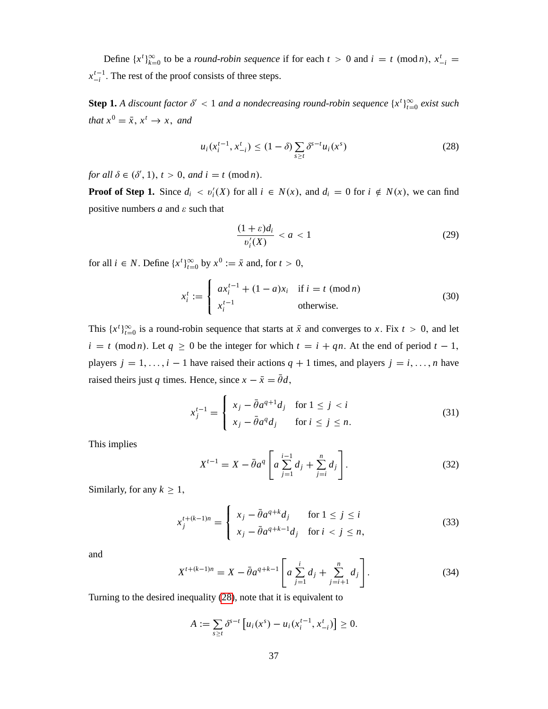Define  $\{x^t\}_{k=0}^{\infty}$  to be a *round-robin sequence* if for each  $t > 0$  and  $i = t \pmod{n}$ ,  $x^t_{-i}$  $x_{-i}^{t-1}$ . The rest of the proof consists of three steps.

**Step 1.** *A* discount factor  $\delta' < 1$  and a nondecreasing round-robin sequence  $\{x^t\}_{t=0}^{\infty}$  exist such *that*  $x^0 = \overline{x}$ ,  $x^t \rightarrow x$ , and

<span id="page-38-0"></span>
$$
u_i(x_i^{t-1}, x_{-i}^t) \le (1 - \delta) \sum_{s \ge t} \delta^{s-t} u_i(x^s)
$$
 (28)

*for all*  $\delta \in (\delta', 1), t > 0$ , *and*  $i = t \pmod{n}$ .

**Proof of Step 1.** Since  $d_i < v'_i(X)$  for all  $i \in N(x)$ , and  $d_i = 0$  for  $i \notin N(x)$ , we can find positive numbers  $a$  and  $\varepsilon$  such that

<span id="page-38-5"></span>
$$
\frac{(1+\varepsilon)d_i}{v_i'(X)} < a < 1\tag{29}
$$

for all  $i \in N$ . Define  $\{x^t\}_{t=0}^{\infty}$  by  $x^0 := \bar{x}$  and, for  $t > 0$ ,

$$
x_i^t := \begin{cases} ax_i^{t-1} + (1-a)x_i & \text{if } i = t \pmod{n} \\ x_i^{t-1} & \text{otherwise.} \end{cases}
$$
 (30)

This  $\{x^t\}_{t=0}^{\infty}$  is a round-robin sequence that starts at  $\bar{x}$  and converges to *x*. Fix  $t > 0$ , and let  $i = t \pmod{n}$ . Let  $q \ge 0$  be the integer for which  $t = i + qn$ . At the end of period  $t - 1$ , players  $j = 1, \ldots, i - 1$  have raised their actions  $q + 1$  times, and players  $j = i, \ldots, n$  have raised theirs just *q* times. Hence, since  $x - \bar{x} = \bar{\theta}d$ ,

<span id="page-38-3"></span>
$$
x_j^{t-1} = \begin{cases} x_j - \bar{\theta}a^{q+1}d_j & \text{for } 1 \le j < i \\ x_j - \bar{\theta}a^q d_j & \text{for } i \le j \le n. \end{cases} \tag{31}
$$

This implies

<span id="page-38-1"></span>
$$
X^{t-1} = X - \bar{\theta}a^q \left[ a \sum_{j=1}^{i-1} d_j + \sum_{j=i}^n d_j \right].
$$
 (32)

Similarly, for any  $k \geq 1$ ,

<span id="page-38-4"></span>
$$
x_j^{t+(k-1)n} = \begin{cases} x_j - \bar{\theta}a^{q+k}d_j & \text{for } 1 \le j \le i \\ x_j - \bar{\theta}a^{q+k-1}d_j & \text{for } i < j \le n, \end{cases}
$$
(33)

and

<span id="page-38-2"></span>
$$
X^{t+(k-1)n} = X - \bar{\theta}a^{q+k-1} \left[ a \sum_{j=1}^{i} d_j + \sum_{j=i+1}^{n} d_j \right].
$$
 (34)

Turning to the desired inequality [\(28\)](#page-38-0), note that it is equivalent to

$$
A := \sum_{s \geq t} \delta^{s-t} \left[ u_i(x^s) - u_i(x_i^{t-1}, x_{-i}^t) \right] \geq 0.
$$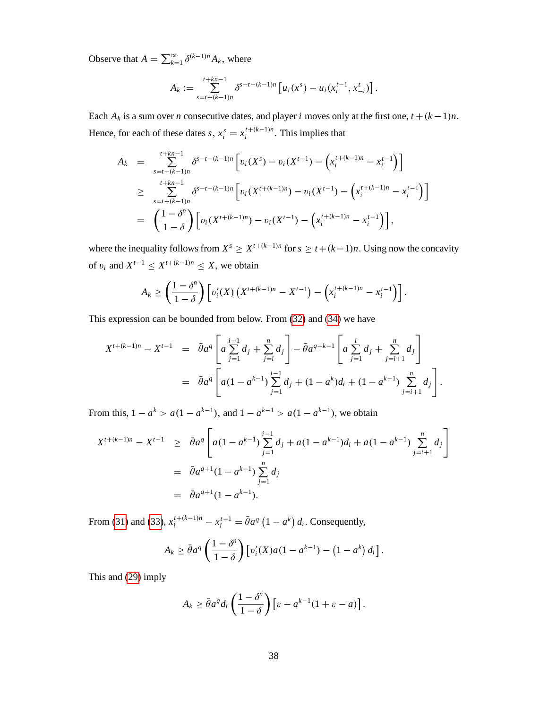Observe that  $A = \sum_{k=1}^{\infty} \delta^{(k-1)n} A_k$ , where

$$
A_k := \sum_{s=t+(k-1)n}^{t+kn-1} \delta^{s-t-(k-1)n} \left[ u_i(x^s) - u_i(x_i^{t-1}, x_{-i}^t) \right].
$$

Each  $A_k$  is a sum over *n* consecutive dates, and player *i* moves only at the first one,  $t + (k-1)n$ . Hence, for each of these dates *s*,  $x_i^s = x_i^{t + (k-1)n}$ . This implies that

$$
A_k = \sum_{\substack{s=t+(k-1)n\\ \text{ s=t+(k-1)}}}^{t+kn-1} \delta^{s-t-(k-1)n} \left[ v_i(X^s) - v_i(X^{t-1}) - \left( x_i^{t+(k-1)n} - x_i^{t-1} \right) \right]
$$
  
\n
$$
\geq \sum_{\substack{s=t+(k-1)n\\ \text{ s=t+(k-1)}}}^{t+kn-1} \delta^{s-t-(k-1)n} \left[ v_i(X^{t+(k-1)n}) - v_i(X^{t-1}) - \left( x_i^{t+(k-1)n} - x_i^{t-1} \right) \right]
$$
  
\n
$$
= \left( \frac{1-\delta^n}{1-\delta} \right) \left[ v_i(X^{t+(k-1)n}) - v_i(X^{t-1}) - \left( x_i^{t+(k-1)n} - x_i^{t-1} \right) \right],
$$

where the inequality follows from  $X^s \ge X^{t+(k-1)n}$  for  $s \ge t+(k-1)n$ . Using now the concavity of  $v_i$  and  $X^{t-1} \leq X^{t+(k-1)n} \leq X$ , we obtain

$$
A_k \geq \left(\frac{1-\delta^n}{1-\delta}\right) \left[ v_i'(X) \left( X^{t+(k-1)n} - X^{t-1} \right) - \left( x_i^{t+(k-1)n} - x_i^{t-1} \right) \right].
$$

This expression can be bounded from below. From [\(32\)](#page-38-1) and [\(34\)](#page-38-2) we have

$$
X^{t+(k-1)n} - X^{t-1} = \bar{\partial} a^q \left[ a \sum_{j=1}^{i-1} d_j + \sum_{j=i}^n d_j \right] - \bar{\partial} a^{q+k-1} \left[ a \sum_{j=1}^i d_j + \sum_{j=i+1}^n d_j \right]
$$
  
=  $\bar{\partial} a^q \left[ a(1 - a^{k-1}) \sum_{j=1}^{i-1} d_j + (1 - a^k) d_i + (1 - a^{k-1}) \sum_{j=i+1}^n d_j \right].$ 

From this,  $1 - a^k > a(1 - a^{k-1})$ , and  $1 - a^{k-1} > a(1 - a^{k-1})$ , we obtain

$$
X^{t+(k-1)n} - X^{t-1} \geq \bar{\theta}a^q \left[ a(1 - a^{k-1}) \sum_{j=1}^{i-1} d_j + a(1 - a^{k-1}) d_i + a(1 - a^{k-1}) \sum_{j=i+1}^n d_j \right]
$$
  
=  $\bar{\theta}a^{q+1}(1 - a^{k-1}) \sum_{j=1}^n d_j$   
=  $\bar{\theta}a^{q+1}(1 - a^{k-1}).$ 

From [\(31\)](#page-38-3) and [\(33\)](#page-38-4),  $x_i^{t+(k-1)n} - x_i^{t-1} = \bar{\theta}a^q (1 - a^k) d_i$ . Consequently,

$$
A_k \geq \bar{\theta}a^q \left(\frac{1-\delta^n}{1-\delta}\right) \left[ v_i'(X)a(1-a^{k-1}) - \left(1-a^k\right)d_i \right].
$$

This and [\(29\)](#page-38-5) imply

$$
A_k \geq \bar{\theta}a^q d_i \left(\frac{1-\delta^n}{1-\delta}\right) \left[\varepsilon - a^{k-1}(1+\varepsilon - a)\right].
$$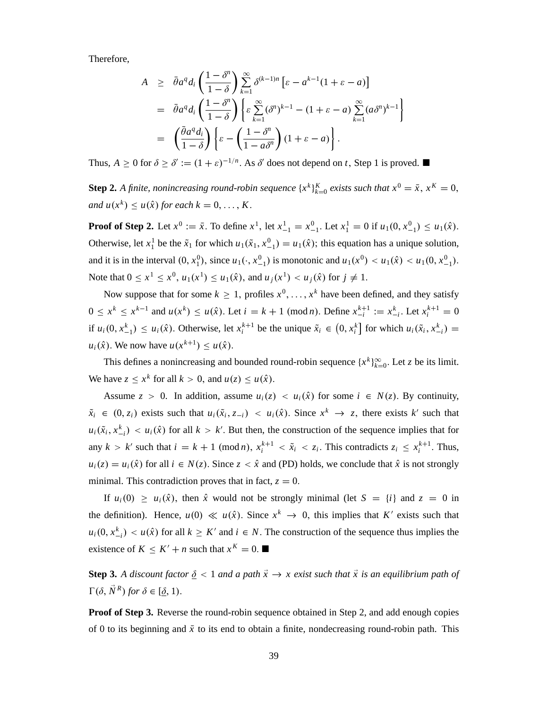Therefore,

$$
A \geq \bar{\theta}a^q d_i \left( \frac{1-\delta^n}{1-\delta} \right) \sum_{k=1}^{\infty} \delta^{(k-1)n} \left[ \varepsilon - a^{k-1} (1+\varepsilon - a) \right]
$$
  
=  $\bar{\theta}a^q d_i \left( \frac{1-\delta^n}{1-\delta} \right) \left\{ \varepsilon \sum_{k=1}^{\infty} (\delta^n)^{k-1} - (1+\varepsilon - a) \sum_{k=1}^{\infty} (a \delta^n)^{k-1} \right\}$   
=  $\left( \frac{\bar{\theta}a^q d_i}{1-\delta} \right) \left\{ \varepsilon - \left( \frac{1-\delta^n}{1-a\delta^n} \right) (1+\varepsilon - a) \right\}.$ 

Thus,  $A \ge 0$  for  $\delta \ge \delta' := (1 + \varepsilon)^{-1/n}$ . As  $\delta'$  does not depend on *t*, Step 1 is proved.

**Step 2.** *A finite, nonincreasing round-robin sequence*  $\{x^k\}_{k=0}^K$  *exists such that*  $x^0 = \bar{x}$ ,  $x^K = 0$ , *and*  $u(x^k) \leq u(\hat{x})$  for each  $k = 0, \ldots, K$ .

**Proof of Step 2.** Let  $x^0 := \bar{x}$ . To define  $x^1$ , let  $x_{-1}^1 = x_{-1}^0$ . Let  $x_1^1 = 0$  if  $u_1(0, x_{-1}^0) \le u_1(\hat{x})$ . Otherwise, let  $x_1^1$  be the  $\tilde{x}_1$  for which  $u_1(\tilde{x}_1, x_{-1}^0) = u_1(\hat{x})$ ; this equation has a unique solution, and it is in the interval  $(0, x_1^0)$ , since  $u_1(\cdot, x_{-1}^0)$  is monotonic and  $u_1(x^0) < u_1(\hat{x}) < u_1(0, x_{-1}^0)$ . Note that  $0 \le x^1 \le x^0$ ,  $u_1(x^1) \le u_1(\hat{x})$ , and  $u_j(x^1) < u_j(\hat{x})$  for  $j \ne 1$ .

Now suppose that for some  $k \geq 1$ , profiles  $x^0, \ldots, x^k$  have been defined, and they satisfy  $0 \le x^k \le x^{k-1}$  and  $u(x^k) \le u(\hat{x})$ . Let  $i = k + 1 \pmod{n}$ . Define  $x_{-i}^{k+1} := x_{-i}^k$ . Let  $x_i^{k+1} = 0$ if  $u_i(0, x_{-1}^k) \leq u_i(\hat{x})$ . Otherwise, let  $x_i^{k+1}$  be the unique  $\tilde{x}_i \in (0, x_i^k]$  for which  $u_i(\tilde{x}_i, x_{-i}^k) =$  $u_i(\hat{x})$ . We now have  $u(x^{k+1}) \leq u(\hat{x})$ .

This defines a nonincreasing and bounded round-robin sequence  $\{x^k\}_{k=0}^{\infty}$ . Let *z* be its limit. We have  $z \le x^k$  for all  $k > 0$ , and  $u(z) \le u(\hat{x})$ .

Assume  $z > 0$ . In addition, assume  $u_i(z) < u_i(\hat{x})$  for some  $i \in N(z)$ . By continuity,  $\tilde{x}_i \in (0, z_i)$  exists such that  $u_i(\tilde{x}_i, z_{-i}) < u_i(\hat{x})$ . Since  $x^k \to z$ , there exists  $k'$  such that  $u_i(\tilde{x}_i, x_{-i}^k) < u_i(\hat{x})$  for all  $k > k'$ . But then, the construction of the sequence implies that for any  $k > k'$  such that  $i = k + 1 \pmod{n}$ ,  $x_i^{k+1} < \tilde{x}_i < z_i$ . This contradicts  $z_i \le x_i^{k+1}$ . Thus,  $u_i(z) = u_i(\hat{x})$  for all  $i \in N(z)$ . Since  $z < \hat{x}$  and (PD) holds, we conclude that  $\hat{x}$  is not strongly minimal. This contradiction proves that in fact,  $z = 0$ .

If  $u_i(0) \ge u_i(\hat{x})$ , then  $\hat{x}$  would not be strongly minimal (let  $S = \{i\}$  and  $z = 0$  in the definition). Hence,  $u(0) \ll u(\hat{x})$ . Since  $x^k \to 0$ , this implies that *K'* exists such that  $u_i(0, x_{-i}^k) < u(\hat{x})$  for all  $k \geq K'$  and  $i \in N$ . The construction of the sequence thus implies the existence of  $K \leq K' + n$  such that  $x^K = 0$ .

**Step 3.** A discount factor  $\delta$  < 1 and a path  $\vec{x} \rightarrow x$  exist such that  $\vec{x}$  is an equilibrium path of  $\Gamma(\delta, \vec{N}^R)$  for  $\delta \in [\underline{\delta}, 1)$ .

**Proof of Step 3.** Reverse the round-robin sequence obtained in Step 2, and add enough copies of 0 to its beginning and  $\bar{x}$  to its end to obtain a finite, nondecreasing round-robin path. This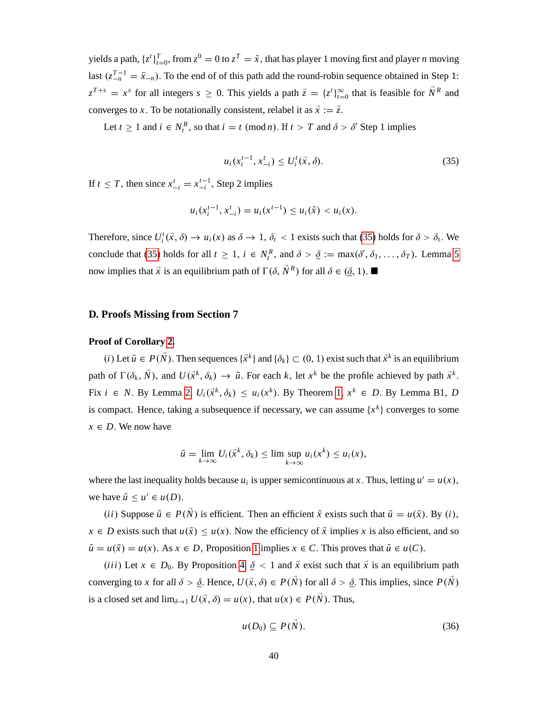yields a path,  $\{z^t\}_{t=0}^T$ , from  $z^0 = 0$  to  $z^T = \bar{x}$ , that has player 1 moving first and player *n* moving last  $(z_{-n}^{T-1} = \bar{x}_{-n})$ . To the end of of this path add the round-robin sequence obtained in Step 1:  $z^{T+s} = x^s$  for all integers  $s \ge 0$ . This yields a path  $\vec{z} = \{z^t\}_{t=0}^{\infty}$  that is feasible for  $\vec{N}^R$  and converges to *x*. To be notationally consistent, relabel it as  $\vec{x} := \vec{z}$ .

Let  $t \ge 1$  and  $i \in N_t^R$ , so that  $i = t \pmod{n}$ . If  $t > T$  and  $\delta > \delta'$  Step 1 implies

<span id="page-41-0"></span>
$$
u_i(x_i^{t-1}, x_{-i}^t) \le U_i^t(\vec{x}, \delta).
$$
 (35)

If  $t \leq T$ , then since  $x_{-i}^t = x_{-i}^{t-1}$ , Step 2 implies

$$
u_i(x_i^{t-1}, x_{-i}^t) = u_i(x^{t-1}) \le u_i(\hat{x}) < u_i(x).
$$

Therefore, since  $U_i^t(\vec{x}, \delta) \to u_i(x)$  as  $\delta \to 1$ ,  $\delta_t < 1$  exists such that [\(35\)](#page-41-0) holds for  $\delta > \delta_t$ . We conclude that [\(35\)](#page-41-0) holds for all  $t \ge 1$ ,  $i \in N_t^R$ , and  $\delta > \underline{\delta} := \max(\delta', \delta_1, \ldots, \delta_T)$ . Lemma [5](#page-20-0) now implies that  $\vec{x}$  is an equilibrium path of  $\Gamma(\delta, \vec{N}^R)$  for all  $\delta \in (\underline{\delta}, 1)$ .

# **D. Proofs Missing from Section 7**

#### **Proof of Corollary [2.](#page-24-0)**

 $(i)$  Let  $\tilde{u} \in P(\tilde{N})$ . Then sequences  $\{\vec{x}^k\}$  and  $\{\delta_k\} \subset (0, 1)$  exist such that  $\vec{x}^k$  is an equilibrium path of  $\Gamma(\delta_k, \vec{N})$ , and  $U(\vec{x}^k, \delta_k) \to \tilde{u}$ . For each *k*, let  $x^k$  be the profile achieved by path  $\vec{x}^k$ . Fix  $i \in N$ . By Lemma [2,](#page-14-0)  $U_i(\vec{x}^k, \delta_k) \leq u_i(x^k)$ . By Theorem [1,](#page-15-0)  $x^k \in D$ . By Lemma B1, *D* is compact. Hence, taking a subsequence if necessary, we can assume  $\{x^k\}$  converges to some  $x \in D$ . We now have

$$
\tilde{u} = \lim_{k \to \infty} U_i(\vec{x}^k, \delta_k) \leq \limsup_{k \to \infty} u_i(x^k) \leq u_i(x),
$$

where the last inequality holds because  $u_i$  is upper semicontinuous at *x*. Thus, letting  $u' = u(x)$ , we have  $\tilde{u} \leq u' \in u(D)$ .

*(ii)* Suppose  $\tilde{u} \in P(\vec{N})$  is efficient. Then an efficient  $\tilde{x}$  exists such that  $\tilde{u} = u(\tilde{x})$ . By *(i)*,  $x \in D$  exists such that  $u(\tilde{x}) \leq u(x)$ . Now the efficiency of  $\tilde{x}$  implies *x* is also efficient, and so  $\tilde{u} = u(\tilde{x}) = u(x)$ . As  $x \in D$ , Proposition [1](#page-17-0) implies  $x \in C$ . This proves that  $\tilde{u} \in u(C)$ .

*(iii)* Let  $x \in D_0$ . By Proposition [4,](#page-22-0)  $\delta \le 1$  and  $\vec{x}$  exist such that  $\vec{x}$  is an equilibrium path converging to *x* for all  $\delta > \delta$ . Hence,  $U(\vec{x}, \delta) \in P(\vec{N})$  for all  $\delta > \delta$ . This implies, since  $P(\vec{N})$ is a closed set and  $\lim_{\delta \to 1} U(\vec{x}, \delta) = u(x)$ , that  $u(x) \in P(\vec{N})$ . Thus,

<span id="page-41-1"></span>
$$
u(D_0) \subseteq P(N). \tag{36}
$$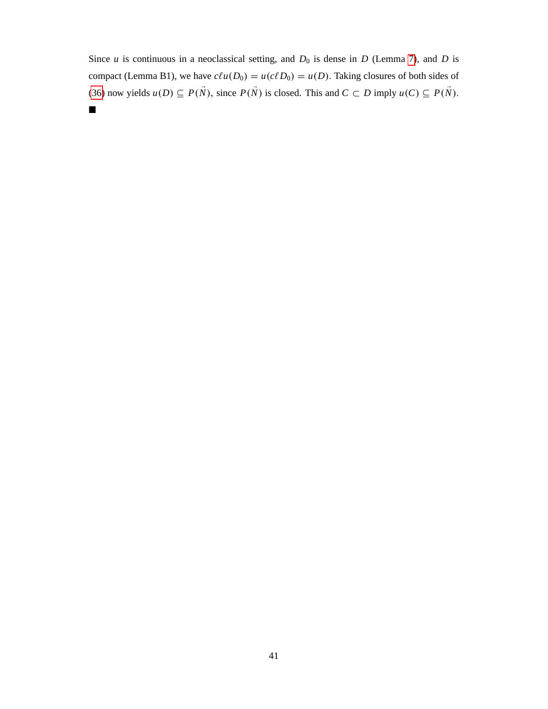Since  $u$  is continuous in a neoclassical setting, and  $D_0$  is dense in  $D$  (Lemma [7\)](#page-22-3), and  $D$  is compact (Lemma B1), we have  $c\ell u(D_0) = u(c\ell D_0) = u(D)$ . Taking closures of both sides of [\(36\)](#page-41-1) now yields  $u(D) \subseteq P(\vec{N})$ , since  $P(\vec{N})$  is closed. This and  $C \subset D$  imply  $u(C) \subseteq P(\vec{N})$ .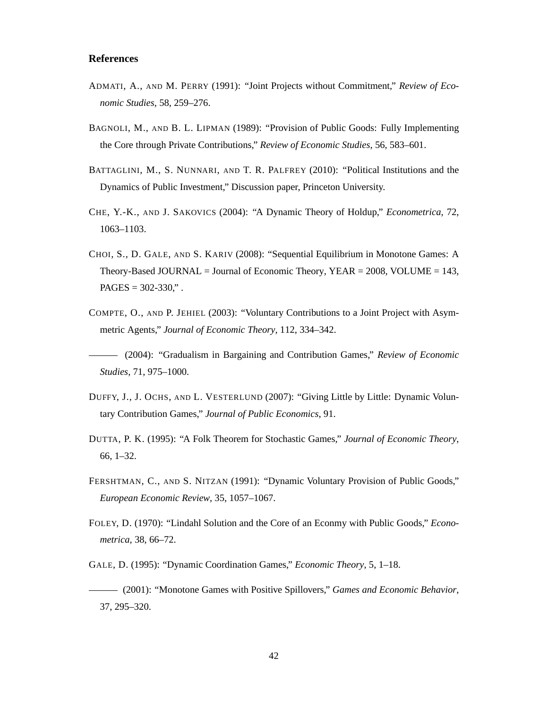# **References**

- ADMATI, A., AND M. PERRY (1991): "Joint Projects without Commitment," *Review of Economic Studies*, 58, 259–276.
- BAGNOLI, M., AND B. L. LIPMAN (1989): "Provision of Public Goods: Fully Implementing the Core through Private Contributions," *Review of Economic Studies*, 56, 583–601.
- BATTAGLINI, M., S. NUNNARI, AND T. R. PALFREY (2010): "Political Institutions and the Dynamics of Public Investment," Discussion paper, Princeton University.
- CHE, Y.-K., AND J. SAKOVICS (2004): "A Dynamic Theory of Holdup," *Econometrica*, 72, 1063–1103.
- CHOI, S., D. GALE, AND S. KARIV (2008): "Sequential Equilibrium in Monotone Games: A Theory-Based JOURNAL = Journal of Economic Theory, YEAR =  $2008$ , VOLUME = 143,  $PAGES = 302-330$ ,".
- COMPTE, O., AND P. JEHIEL (2003): "Voluntary Contributions to a Joint Project with Asymmetric Agents," *Journal of Economic Theory*, 112, 334–342.
- (2004): "Gradualism in Bargaining and Contribution Games," *Review of Economic Studies*, 71, 975–1000.
- DUFFY, J., J. OCHS, AND L. VESTERLUND (2007): "Giving Little by Little: Dynamic Voluntary Contribution Games," *Journal of Public Economics*, 91.
- DUTTA, P. K. (1995): "A Folk Theorem for Stochastic Games," *Journal of Economic Theory*, 66, 1–32.
- FERSHTMAN, C., AND S. NITZAN (1991): "Dynamic Voluntary Provision of Public Goods," *European Economic Review*, 35, 1057–1067.
- FOLEY, D. (1970): "Lindahl Solution and the Core of an Econmy with Public Goods," *Econometrica*, 38, 66–72.
- GALE, D. (1995): "Dynamic Coordination Games," *Economic Theory*, 5, 1–18.
- (2001): "Monotone Games with Positive Spillovers," *Games and Economic Behavior*, 37, 295–320.